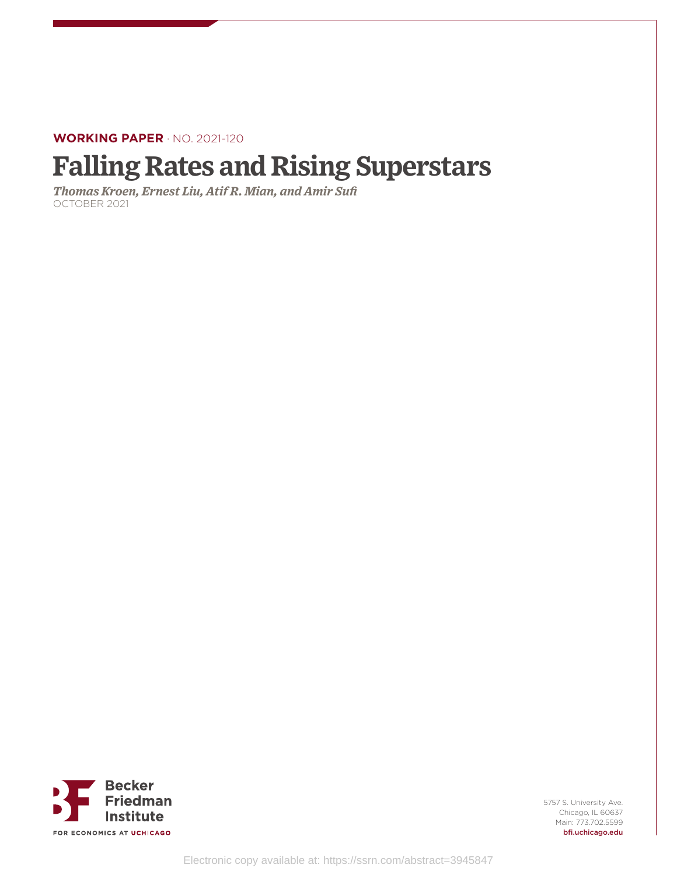## **WORKING PAPER** · NO. 2021-120

# **Falling Rates and Rising Superstars**

*Thomas Kroen, Ernest Liu, Atif R. Mian, and Amir Sufi* OCTOBER 2021



5757 S. University Ave. Chicago, IL 60637 Main: 773.702.5599 bfi.uchicago.edu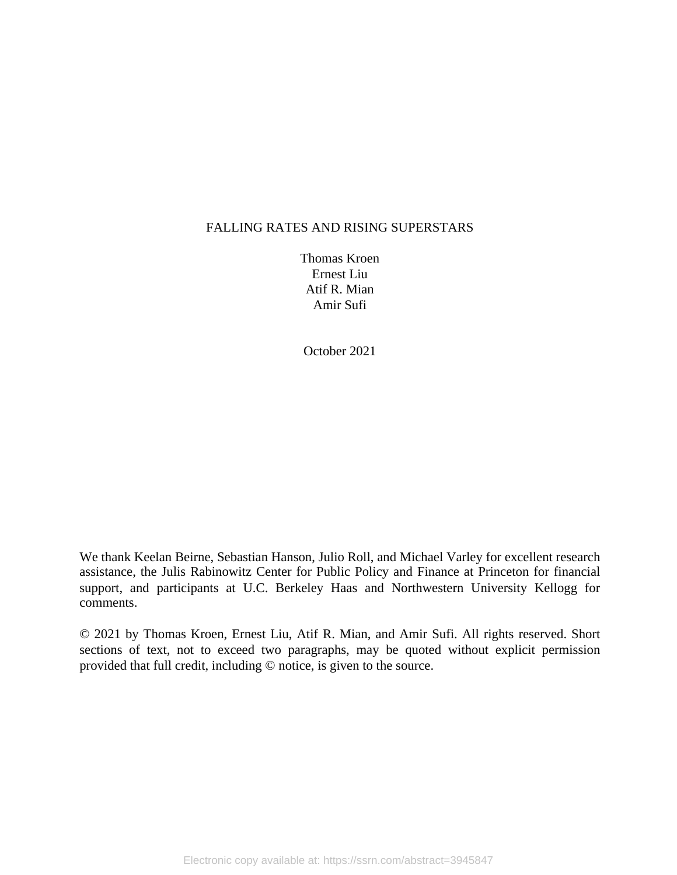## FALLING RATES AND RISING SUPERSTARS

Thomas Kroen Ernest Liu Atif R. Mian Amir Sufi

October 2021

We thank Keelan Beirne, Sebastian Hanson, Julio Roll, and Michael Varley for excellent research assistance, the Julis Rabinowitz Center for Public Policy and Finance at Princeton for financial support, and participants at U.C. Berkeley Haas and Northwestern University Kellogg for comments.

© 2021 by Thomas Kroen, Ernest Liu, Atif R. Mian, and Amir Sufi. All rights reserved. Short sections of text, not to exceed two paragraphs, may be quoted without explicit permission provided that full credit, including © notice, is given to the source.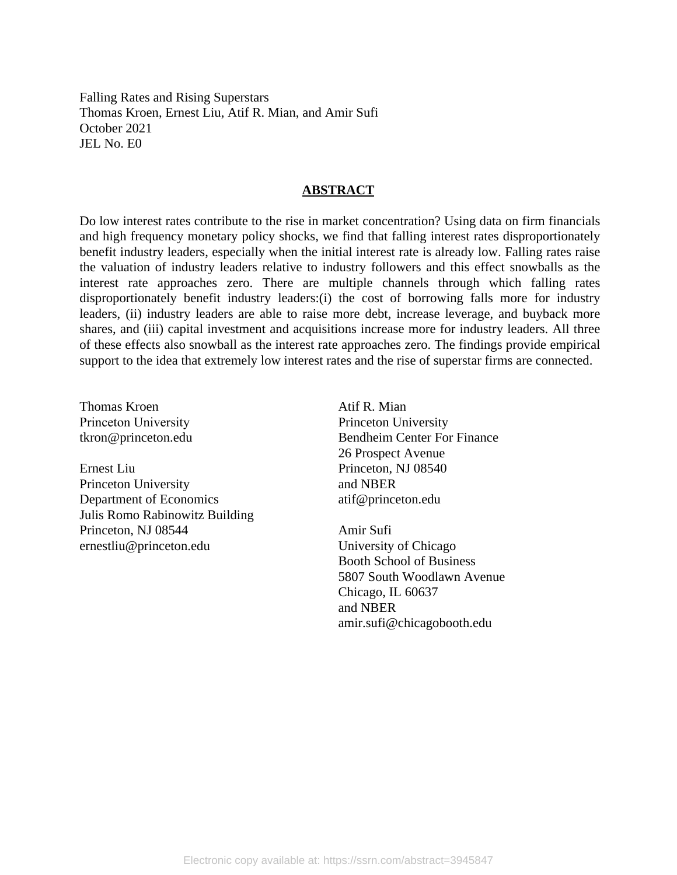Falling Rates and Rising Superstars Thomas Kroen, Ernest Liu, Atif R. Mian, and Amir Sufi October 2021 JEL No. E0

### **ABSTRACT**

Do low interest rates contribute to the rise in market concentration? Using data on firm financials and high frequency monetary policy shocks, we find that falling interest rates disproportionately benefit industry leaders, especially when the initial interest rate is already low. Falling rates raise the valuation of industry leaders relative to industry followers and this effect snowballs as the interest rate approaches zero. There are multiple channels through which falling rates disproportionately benefit industry leaders:(i) the cost of borrowing falls more for industry leaders, (ii) industry leaders are able to raise more debt, increase leverage, and buyback more shares, and (iii) capital investment and acquisitions increase more for industry leaders. All three of these effects also snowball as the interest rate approaches zero. The findings provide empirical support to the idea that extremely low interest rates and the rise of superstar firms are connected.

Thomas Kroen Princeton University tkron@princeton.edu

Ernest Liu Princeton University Department of Economics Julis Romo Rabinowitz Building Princeton, NJ 08544 ernestliu@princeton.edu

Atif R. Mian Princeton University Bendheim Center For Finance 26 Prospect Avenue Princeton, NJ 08540 and NBER atif@princeton.edu

Amir Sufi University of Chicago Booth School of Business 5807 South Woodlawn Avenue Chicago, IL 60637 and NBER amir.sufi@chicagobooth.edu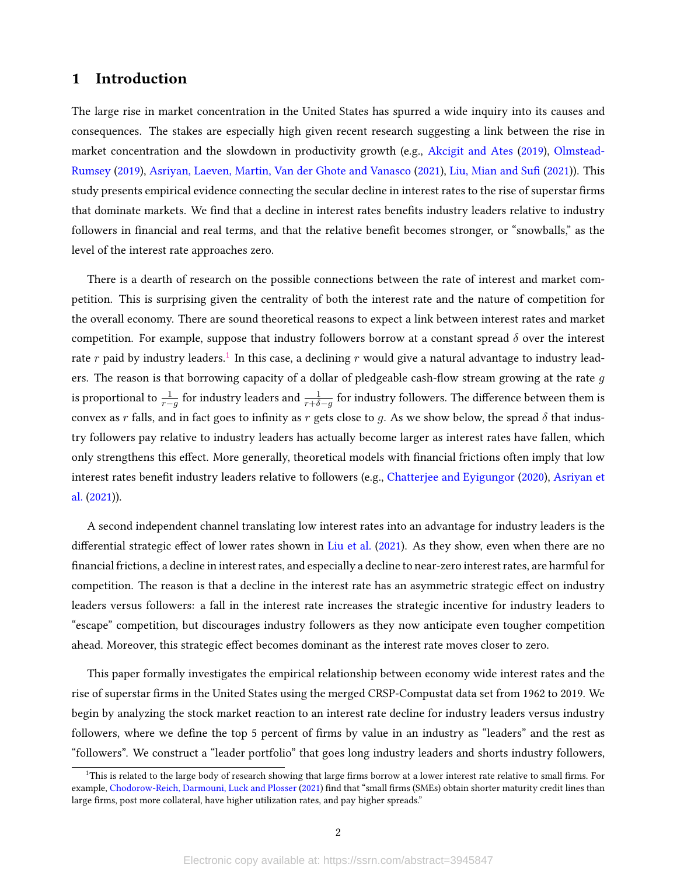## 1 Introduction

The large rise in market concentration in the United States has spurred a wide inquiry into its causes and consequences. The stakes are especially high given recent research suggesting a link between the rise in market concentration and the slowdown in productivity growth (e.g., [Akcigit and Ates](#page-28-0) [\(2019\)](#page-28-0), [Olmstead-](#page-29-0)[Rumsey](#page-29-0) [\(2019\)](#page-29-0), [Asriyan, Laeven, Martin, Van der Ghote and Vanasco](#page-28-1) [\(2021\)](#page-29-1), [Liu, Mian and Su](#page-29-1)fi (2021)). This study presents empirical evidence connecting the secular decline in interest rates to the rise of superstar firms that dominate markets. We find that a decline in interest rates benefits industry leaders relative to industry followers in financial and real terms, and that the relative benefit becomes stronger, or "snowballs," as the level of the interest rate approaches zero.

There is a dearth of research on the possible connections between the rate of interest and market competition. This is surprising given the centrality of both the interest rate and the nature of competition for the overall economy. There are sound theoretical reasons to expect a link between interest rates and market competition. For example, suppose that industry followers borrow at a constant spread  $\delta$  over the interest rate  $r$  paid by industry leaders. $^1$  $^1$  In this case, a declining  $r$  would give a natural advantage to industry leaders. The reason is that borrowing capacity of a dollar of pledgeable cash-flow stream growing at the rate  $g$ is proportional to  $\frac{1}{r-g}$  for industry leaders and  $\frac{1}{r+\delta-g}$  for industry followers. The difference between them is convex as r falls, and in fact goes to infinity as r gets close to g. As we show below, the spread  $\delta$  that industry followers pay relative to industry leaders has actually become larger as interest rates have fallen, which only strengthens this effect. More generally, theoretical models with financial frictions often imply that low interest rates benefit industry leaders relative to followers (e.g., [Chatterjee and Eyigungor](#page-28-2) [\(2020\)](#page-28-2), [Asriyan et](#page-28-1) [al.](#page-28-1) [\(2021\)](#page-28-1)).

A second independent channel translating low interest rates into an advantage for industry leaders is the differential strategic effect of lower rates shown in [Liu et al.](#page-29-1) [\(2021\)](#page-29-1). As they show, even when there are no financial frictions, a decline in interest rates, and especially a decline to near-zero interest rates, are harmful for competition. The reason is that a decline in the interest rate has an asymmetric strategic effect on industry leaders versus followers: a fall in the interest rate increases the strategic incentive for industry leaders to "escape" competition, but discourages industry followers as they now anticipate even tougher competition ahead. Moreover, this strategic effect becomes dominant as the interest rate moves closer to zero.

This paper formally investigates the empirical relationship between economy wide interest rates and the rise of superstar firms in the United States using the merged CRSP-Compustat data set from 1962 to 2019. We begin by analyzing the stock market reaction to an interest rate decline for industry leaders versus industry followers, where we define the top 5 percent of firms by value in an industry as "leaders" and the rest as "followers". We construct a "leader portfolio" that goes long industry leaders and shorts industry followers,

<span id="page-3-0"></span> ${}^{1}$ This is related to the large body of research showing that large firms borrow at a lower interest rate relative to small firms. For example, [Chodorow-Reich, Darmouni, Luck and Plosser](#page-28-3) [\(2021\)](#page-28-3) find that "small firms (SMEs) obtain shorter maturity credit lines than large firms, post more collateral, have higher utilization rates, and pay higher spreads."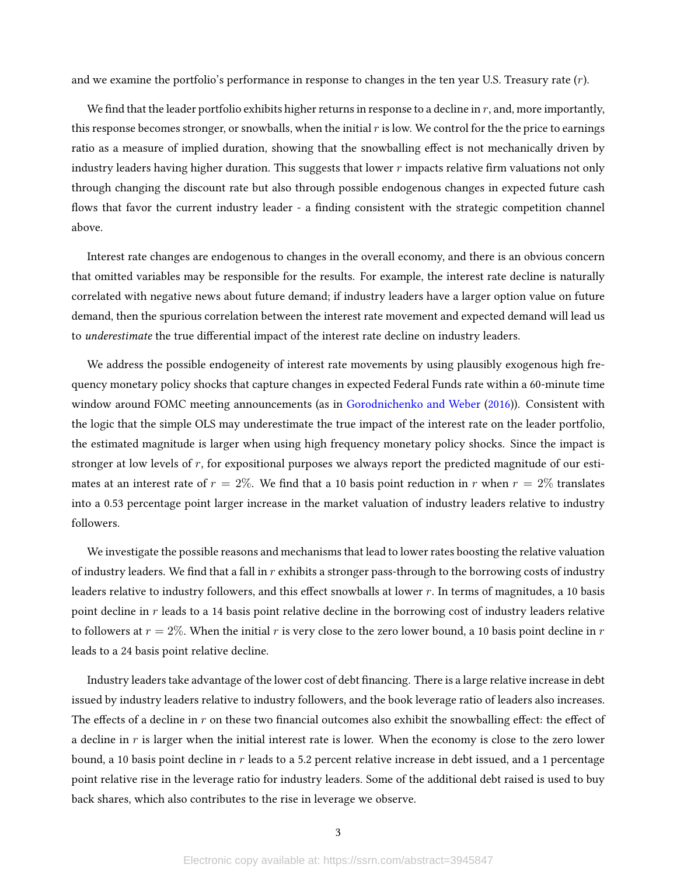and we examine the portfolio's performance in response to changes in the ten year U.S. Treasury rate (r).

We find that the leader portfolio exhibits higher returns in response to a decline in  $r$ , and, more importantly, this response becomes stronger, or snowballs, when the initial  $r$  is low. We control for the the price to earnings ratio as a measure of implied duration, showing that the snowballing effect is not mechanically driven by industry leaders having higher duration. This suggests that lower  $r$  impacts relative firm valuations not only through changing the discount rate but also through possible endogenous changes in expected future cash flows that favor the current industry leader - a finding consistent with the strategic competition channel above.

Interest rate changes are endogenous to changes in the overall economy, and there is an obvious concern that omitted variables may be responsible for the results. For example, the interest rate decline is naturally correlated with negative news about future demand; if industry leaders have a larger option value on future demand, then the spurious correlation between the interest rate movement and expected demand will lead us to *underestimate* the true differential impact of the interest rate decline on industry leaders.

We address the possible endogeneity of interest rate movements by using plausibly exogenous high frequency monetary policy shocks that capture changes in expected Federal Funds rate within a 60-minute time window around FOMC meeting announcements (as in [Gorodnichenko and Weber](#page-28-4) [\(2016\)](#page-28-4)). Consistent with the logic that the simple OLS may underestimate the true impact of the interest rate on the leader portfolio, the estimated magnitude is larger when using high frequency monetary policy shocks. Since the impact is stronger at low levels of  $r$ , for expositional purposes we always report the predicted magnitude of our estimates at an interest rate of  $r = 2\%$ . We find that a 10 basis point reduction in r when  $r = 2\%$  translates into a 0.53 percentage point larger increase in the market valuation of industry leaders relative to industry followers.

We investigate the possible reasons and mechanisms that lead to lower rates boosting the relative valuation of industry leaders. We find that a fall in  $r$  exhibits a stronger pass-through to the borrowing costs of industry leaders relative to industry followers, and this effect snowballs at lower  $r$ . In terms of magnitudes, a 10 basis point decline in  $r$  leads to a 14 basis point relative decline in the borrowing cost of industry leaders relative to followers at  $r = 2\%$ . When the initial r is very close to the zero lower bound, a 10 basis point decline in r leads to a 24 basis point relative decline.

Industry leaders take advantage of the lower cost of debt financing. There is a large relative increase in debt issued by industry leaders relative to industry followers, and the book leverage ratio of leaders also increases. The effects of a decline in  $r$  on these two financial outcomes also exhibit the snowballing effect: the effect of a decline in  $r$  is larger when the initial interest rate is lower. When the economy is close to the zero lower bound, a 10 basis point decline in  $r$  leads to a 5.2 percent relative increase in debt issued, and a 1 percentage point relative rise in the leverage ratio for industry leaders. Some of the additional debt raised is used to buy back shares, which also contributes to the rise in leverage we observe.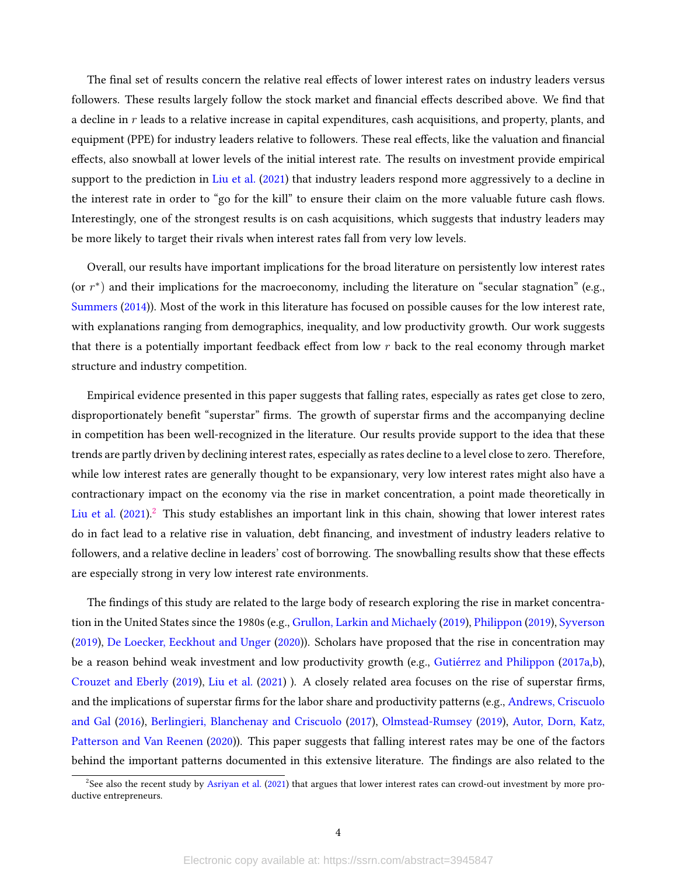The final set of results concern the relative real effects of lower interest rates on industry leaders versus followers. These results largely follow the stock market and financial effects described above. We find that a decline in  $r$  leads to a relative increase in capital expenditures, cash acquisitions, and property, plants, and equipment (PPE) for industry leaders relative to followers. These real effects, like the valuation and financial effects, also snowball at lower levels of the initial interest rate. The results on investment provide empirical support to the prediction in [Liu et al.](#page-29-1) [\(2021\)](#page-29-1) that industry leaders respond more aggressively to a decline in the interest rate in order to "go for the kill" to ensure their claim on the more valuable future cash flows. Interestingly, one of the strongest results is on cash acquisitions, which suggests that industry leaders may be more likely to target their rivals when interest rates fall from very low levels.

Overall, our results have important implications for the broad literature on persistently low interest rates (or  $r^*$ ) and their implications for the macroeconomy, including the literature on "secular stagnation" (e.g., [Summers](#page-29-2) [\(2014\)](#page-29-2)). Most of the work in this literature has focused on possible causes for the low interest rate, with explanations ranging from demographics, inequality, and low productivity growth. Our work suggests that there is a potentially important feedback effect from low  $r$  back to the real economy through market structure and industry competition.

Empirical evidence presented in this paper suggests that falling rates, especially as rates get close to zero, disproportionately benefit "superstar" firms. The growth of superstar firms and the accompanying decline in competition has been well-recognized in the literature. Our results provide support to the idea that these trends are partly driven by declining interest rates, especially as rates decline to a level close to zero. Therefore, while low interest rates are generally thought to be expansionary, very low interest rates might also have a contractionary impact on the economy via the rise in market concentration, a point made theoretically in [Liu et al.](#page-29-1)  $(2021)^2$  $(2021)^2$  $(2021)^2$ . This study establishes an important link in this chain, showing that lower interest rates do in fact lead to a relative rise in valuation, debt financing, and investment of industry leaders relative to followers, and a relative decline in leaders' cost of borrowing. The snowballing results show that these effects are especially strong in very low interest rate environments.

The findings of this study are related to the large body of research exploring the rise in market concentration in the United States since the 1980s (e.g., [Grullon, Larkin and Michaely](#page-28-5) [\(2019\)](#page-28-5), [Philippon](#page-29-3) [\(2019\)](#page-29-3), [Syverson](#page-29-4) [\(2019\)](#page-29-4), [De Loecker, Eeckhout and Unger](#page-29-5) [\(2020\)](#page-29-5)). Scholars have proposed that the rise in concentration may be a reason behind weak investment and low productivity growth (e.g., [Gutiérrez and Philippon](#page-29-6) [\(2017a,](#page-29-6)[b\)](#page-29-7), [Crouzet and Eberly](#page-28-6)  $(2019)$ , [Liu et al.](#page-29-1)  $(2021)$ ). A closely related area focuses on the rise of superstar firms, and the implications of superstar firms for the labor share and productivity patterns (e.g., [Andrews, Criscuolo](#page-28-7) [and Gal](#page-28-7) [\(2016\)](#page-28-7), [Berlingieri, Blanchenay and Criscuolo](#page-28-8) [\(2017\)](#page-28-8), [Olmstead-Rumsey](#page-29-0) [\(2019\)](#page-29-0), [Autor, Dorn, Katz,](#page-28-9) [Patterson and Van Reenen](#page-28-9) [\(2020\)](#page-28-9)). This paper suggests that falling interest rates may be one of the factors behind the important patterns documented in this extensive literature. The findings are also related to the

<span id="page-5-0"></span> $^2$ See also the recent study by [Asriyan et al.](#page-28-1) [\(2021\)](#page-28-1) that argues that lower interest rates can crowd-out investment by more productive entrepreneurs.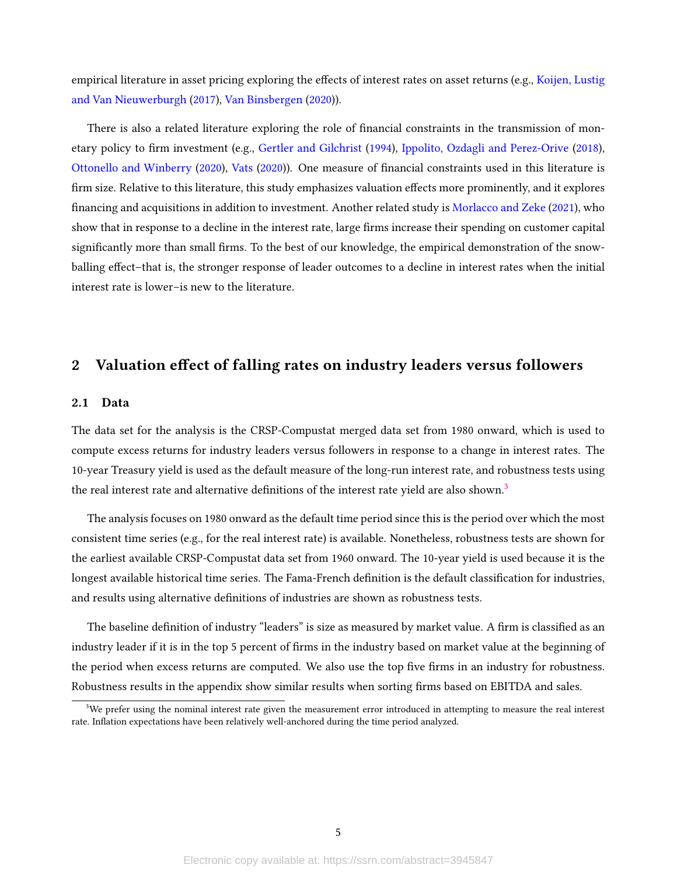empirical literature in asset pricing exploring the effects of interest rates on asset returns (e.g., [Koijen, Lustig](#page-29-8) [and Van Nieuwerburgh](#page-29-8) [\(2017\)](#page-29-8), [Van Binsbergen](#page-28-10) [\(2020\)](#page-28-10)).

There is also a related literature exploring the role of financial constraints in the transmission of mon-etary policy to firm investment (e.g., [Gertler and Gilchrist](#page-28-11) [\(1994\)](#page-28-11), [Ippolito, Ozdagli and Perez-Orive](#page-29-9) [\(2018\)](#page-29-9), [Ottonello and Winberry](#page-29-10) [\(2020\)](#page-29-10), [Vats](#page-29-11) [\(2020\)](#page-29-11)). One measure of nancial constraints used in this literature is firm size. Relative to this literature, this study emphasizes valuation effects more prominently, and it explores financing and acquisitions in addition to investment. Another related study is [Morlacco and Zeke](#page-29-12) [\(2021\)](#page-29-12), who show that in response to a decline in the interest rate, large firms increase their spending on customer capital significantly more than small firms. To the best of our knowledge, the empirical demonstration of the snowballing effect–that is, the stronger response of leader outcomes to a decline in interest rates when the initial interest rate is lower–is new to the literature.

## <span id="page-6-1"></span>2 Valuation effect of falling rates on industry leaders versus followers

#### 2.1 Data

The data set for the analysis is the CRSP-Compustat merged data set from 1980 onward, which is used to compute excess returns for industry leaders versus followers in response to a change in interest rates. The 10-year Treasury yield is used as the default measure of the long-run interest rate, and robustness tests using the real interest rate and alternative definitions of the interest rate yield are also shown.<sup>[3](#page-6-0)</sup>

The analysis focuses on 1980 onward as the default time period since this is the period over which the most consistent time series (e.g., for the real interest rate) is available. Nonetheless, robustness tests are shown for the earliest available CRSP-Compustat data set from 1960 onward. The 10-year yield is used because it is the longest available historical time series. The Fama-French definition is the default classification for industries, and results using alternative definitions of industries are shown as robustness tests.

The baseline definition of industry "leaders" is size as measured by market value. A firm is classified as an industry leader if it is in the top 5 percent of firms in the industry based on market value at the beginning of the period when excess returns are computed. We also use the top five firms in an industry for robustness. Robustness results in the appendix show similar results when sorting firms based on EBITDA and sales.

<span id="page-6-0"></span> $3$ We prefer using the nominal interest rate given the measurement error introduced in attempting to measure the real interest rate. Inflation expectations have been relatively well-anchored during the time period analyzed.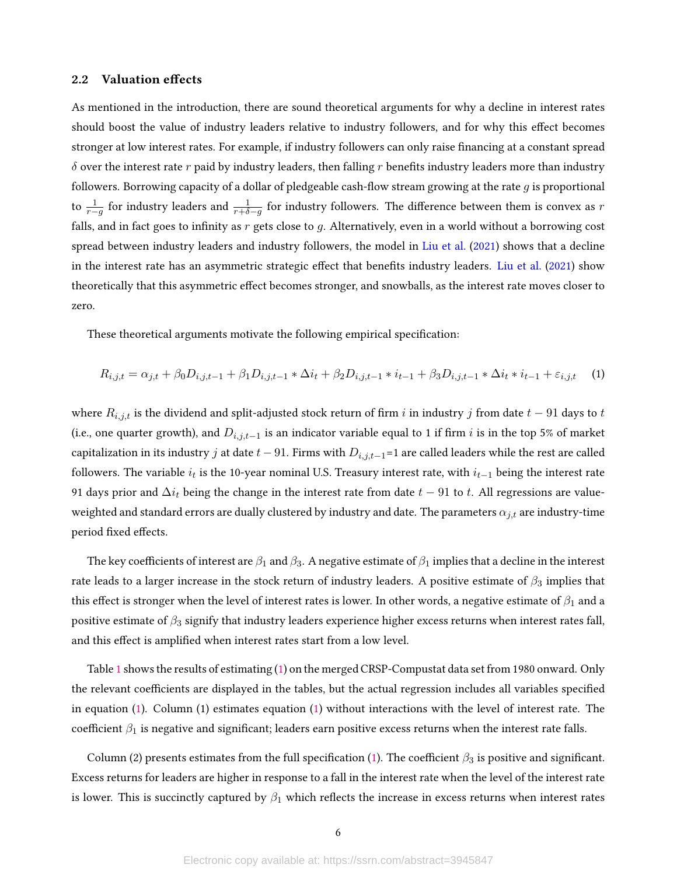## 2.2 Valuation effects

As mentioned in the introduction, there are sound theoretical arguments for why a decline in interest rates should boost the value of industry leaders relative to industry followers, and for why this effect becomes stronger at low interest rates. For example, if industry followers can only raise financing at a constant spread  $\delta$  over the interest rate r paid by industry leaders, then falling r benefits industry leaders more than industry followers. Borrowing capacity of a dollar of pledgeable cash-flow stream growing at the rate  $g$  is proportional to  $\frac{1}{r-g}$  for industry leaders and  $\frac{1}{r+\delta-g}$  for industry followers. The difference between them is convex as r falls, and in fact goes to infinity as  $r$  gets close to  $g$ . Alternatively, even in a world without a borrowing cost spread between industry leaders and industry followers, the model in [Liu et al.](#page-29-1) [\(2021\)](#page-29-1) shows that a decline in the interest rate has an asymmetric strategic effect that benefits industry leaders. [Liu et al.](#page-29-1) [\(2021\)](#page-29-1) show theoretically that this asymmetric effect becomes stronger, and snowballs, as the interest rate moves closer to zero.

These theoretical arguments motivate the following empirical specification:

<span id="page-7-0"></span>
$$
R_{i,j,t} = \alpha_{j,t} + \beta_0 D_{i,j,t-1} + \beta_1 D_{i,j,t-1} * \Delta i_t + \beta_2 D_{i,j,t-1} * i_{t-1} + \beta_3 D_{i,j,t-1} * \Delta i_t * i_{t-1} + \varepsilon_{i,j,t} \tag{1}
$$

where  $R_{i,j,t}$  is the dividend and split-adjusted stock return of firm i in industry j from date  $t-91$  days to t (i.e., one quarter growth), and  $D_{i,j,t-1}$  is an indicator variable equal to 1 if firm i is in the top 5% of market capitalization in its industry j at date  $t-91$ . Firms with  $D_{i,j,t-1}=1$  are called leaders while the rest are called followers. The variable  $i_t$  is the 10-year nominal U.S. Treasury interest rate, with  $i_{t-1}$  being the interest rate 91 days prior and  $\Delta i_t$  being the change in the interest rate from date  $t-91$  to t. All regressions are valueweighted and standard errors are dually clustered by industry and date. The parameters  $\alpha_{j,t}$  are industry-time period fixed effects.

The key coefficients of interest are  $\beta_1$  and  $\beta_3$ . A negative estimate of  $\beta_1$  implies that a decline in the interest rate leads to a larger increase in the stock return of industry leaders. A positive estimate of  $\beta_3$  implies that this effect is stronger when the level of interest rates is lower. In other words, a negative estimate of  $\beta_1$  and a positive estimate of  $\beta_3$  signify that industry leaders experience higher excess returns when interest rates fall, and this effect is amplified when interest rates start from a low level.

Table [1](#page-8-0) shows the results of estimating [\(1\)](#page-7-0) on the merged CRSP-Compustat data set from 1980 onward. Only the relevant coefficients are displayed in the tables, but the actual regression includes all variables specified in equation [\(1\)](#page-7-0). Column (1) estimates equation [\(1\)](#page-7-0) without interactions with the level of interest rate. The coefficient  $\beta_1$  is negative and significant; leaders earn positive excess returns when the interest rate falls.

Column (2) presents estimates from the full specification [\(1\)](#page-7-0). The coefficient  $\beta_3$  is positive and significant. Excess returns for leaders are higher in response to a fall in the interest rate when the level of the interest rate is lower. This is succinctly captured by  $\beta_1$  which reflects the increase in excess returns when interest rates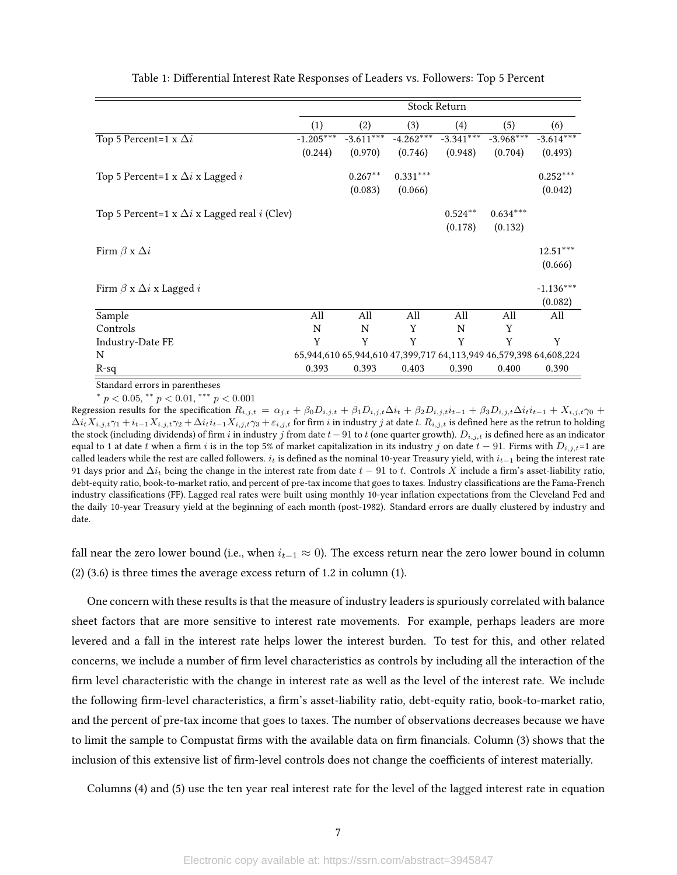<span id="page-8-0"></span>

|                                                     |             |                                                                   |             | Stock Return |             |             |
|-----------------------------------------------------|-------------|-------------------------------------------------------------------|-------------|--------------|-------------|-------------|
|                                                     | (1)         | (2)                                                               | (3)         | (4)          | (5)         | (6)         |
| Top 5 Percent=1 x $\Delta i$                        | $-1.205***$ | $-3.611***$                                                       | $-4.262***$ | $-3.341***$  | $-3.968***$ | $-3.614***$ |
|                                                     | (0.244)     | (0.970)                                                           | (0.746)     | (0.948)      | (0.704)     | (0.493)     |
| Top 5 Percent=1 x $\Delta i$ x Lagged i             |             | $0.267**$                                                         | $0.331***$  |              |             | $0.252***$  |
|                                                     |             | (0.083)                                                           | (0.066)     |              |             | (0.042)     |
| Top 5 Percent=1 x $\Delta i$ x Lagged real i (Clev) |             |                                                                   |             | $0.524***$   | $0.634***$  |             |
|                                                     |             |                                                                   |             | (0.178)      | (0.132)     |             |
| Firm $\beta$ x $\Delta i$                           |             |                                                                   |             |              |             | $12.51***$  |
|                                                     |             |                                                                   |             |              |             | (0.666)     |
| Firm $\beta$ x $\Delta i$ x Lagged i                |             |                                                                   |             |              |             | $-1.136***$ |
|                                                     |             |                                                                   |             |              |             | (0.082)     |
| Sample                                              | All         | All                                                               | All         | All          | All         | All         |
| Controls                                            | N           | N                                                                 | Y           | N            | Y           |             |
| Industry-Date FE                                    | Y           | Y                                                                 | Y           | Y            | Y           | Y           |
| N                                                   |             | 65,944,610 65,944,610 47,399,717 64,113,949 46,579,398 64,608,224 |             |              |             |             |
| $R-sq$                                              | 0.393       | 0.393                                                             | 0.403       | 0.390        | 0.400       | 0.390       |

#### Table 1: Differential Interest Rate Responses of Leaders vs. Followers: Top 5 Percent

Standard errors in parentheses

\*  $p < 0.05$ , \*\*  $p < 0.01$ , \*\*\*  $p < 0.001$ 

Regression results for the specification  $R_{i,j,t} = \alpha_{j,t} + \beta_0 D_{i,j,t} + \beta_1 D_{i,j,t} \Delta i_t + \beta_2 D_{i,j,t} i_{t-1} + \beta_3 D_{i,j,t} \Delta i_t i_{t-1} + X_{i,j,t} \gamma_0 +$  $\Delta i_tX_{i,j,t}\gamma_1+i_{t-1}X_{i,j,t}\gamma_2+\Delta i_t i_{t-1}X_{i,j,t}\gamma_3+\varepsilon_{i,j,t}$  for firm  $i$  in industry  $j$  at date  $t.$   $R_{i,j,t}$  is defined here as the retrun to holding the stock (including dividends) of firm i in industry j from date  $t-91$  to t (one quarter growth).  $D_{i,j,t}$  is defined here as an indicator equal to 1 at date t when a firm i is in the top 5% of market capitalization in its industry j on date  $t - 91$ . Firms with  $D_{i,j,t}=1$  are called leaders while the rest are called followers.  $i_t$  is defined as the nominal 10-year Treasury yield, with  $i_{t-1}$  being the interest rate 91 days prior and  $\Delta i_t$  being the change in the interest rate from date  $t - 91$  to t. Controls X include a firm's asset-liability ratio, debt-equity ratio, book-to-market ratio, and percent of pre-tax income that goes to taxes. Industry classifications are the Fama-French industry classifications (FF). Lagged real rates were built using monthly 10-year inflation expectations from the Cleveland Fed and the daily 10-year Treasury yield at the beginning of each month (post-1982). Standard errors are dually clustered by industry and date.

fall near the zero lower bound (i.e., when  $i_{t-1} \approx 0$ ). The excess return near the zero lower bound in column (2) (3.6) is three times the average excess return of 1.2 in column (1).

One concern with these results is that the measure of industry leaders is spuriously correlated with balance sheet factors that are more sensitive to interest rate movements. For example, perhaps leaders are more levered and a fall in the interest rate helps lower the interest burden. To test for this, and other related concerns, we include a number of firm level characteristics as controls by including all the interaction of the firm level characteristic with the change in interest rate as well as the level of the interest rate. We include the following firm-level characteristics, a firm's asset-liability ratio, debt-equity ratio, book-to-market ratio, and the percent of pre-tax income that goes to taxes. The number of observations decreases because we have to limit the sample to Compustat firms with the available data on firm financials. Column (3) shows that the inclusion of this extensive list of firm-level controls does not change the coefficients of interest materially.

Columns (4) and (5) use the ten year real interest rate for the level of the lagged interest rate in equation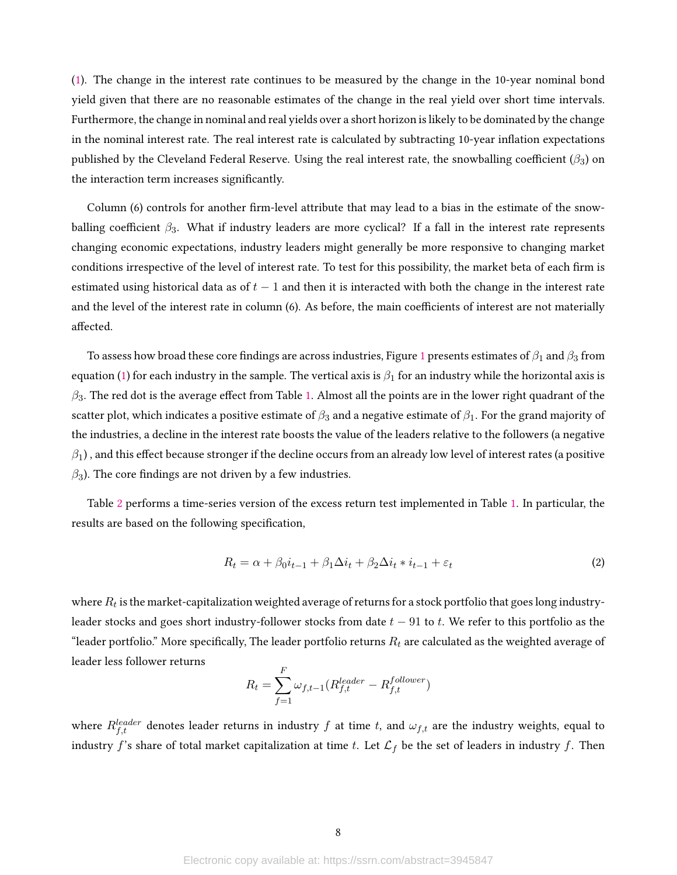[\(1\)](#page-7-0). The change in the interest rate continues to be measured by the change in the 10-year nominal bond yield given that there are no reasonable estimates of the change in the real yield over short time intervals. Furthermore, the change in nominal and real yields over a short horizon is likely to be dominated by the change in the nominal interest rate. The real interest rate is calculated by subtracting 10-year inflation expectations published by the Cleveland Federal Reserve. Using the real interest rate, the snowballing coefficient ( $\beta_3$ ) on the interaction term increases signicantly.

Column  $(6)$  controls for another firm-level attribute that may lead to a bias in the estimate of the snowballing coefficient  $\beta_3$ . What if industry leaders are more cyclical? If a fall in the interest rate represents changing economic expectations, industry leaders might generally be more responsive to changing market conditions irrespective of the level of interest rate. To test for this possibility, the market beta of each firm is estimated using historical data as of  $t-1$  and then it is interacted with both the change in the interest rate and the level of the interest rate in column (6). As before, the main coefficients of interest are not materially affected.

To assess how broad these core findings are across industries, Figure [1](#page-10-0) presents estimates of  $\beta_1$  and  $\beta_3$  from equation [\(1\)](#page-7-0) for each industry in the sample. The vertical axis is  $\beta_1$  for an industry while the horizontal axis is  $\beta_3$ . The red dot is the average effect from Table [1.](#page-8-0) Almost all the points are in the lower right quadrant of the scatter plot, which indicates a positive estimate of  $\beta_3$  and a negative estimate of  $\beta_1$ . For the grand majority of the industries, a decline in the interest rate boosts the value of the leaders relative to the followers (a negative  $\beta_1$ ), and this effect because stronger if the decline occurs from an already low level of interest rates (a positive  $\beta_3$ ). The core findings are not driven by a few industries.

Table [2](#page-11-0) performs a time-series version of the excess return test implemented in Table [1.](#page-8-0) In particular, the results are based on the following specification,

$$
R_t = \alpha + \beta_0 i_{t-1} + \beta_1 \Delta i_t + \beta_2 \Delta i_t * i_{t-1} + \varepsilon_t \tag{2}
$$

where  $R_t$  is the market-capitalization weighted average of returns for a stock portfolio that goes long industryleader stocks and goes short industry-follower stocks from date  $t - 91$  to t. We refer to this portfolio as the "leader portfolio." More specifically, The leader portfolio returns  $R_t$  are calculated as the weighted average of leader less follower returns

<span id="page-9-0"></span>
$$
R_t = \sum_{f=1}^{F} \omega_{f,t-1}(R_{f,t}^{leader} - R_{f,t}^{follower})
$$

where  $R_{f,t}^{leader}$  denotes leader returns in industry  $f$  at time  $t$ , and  $\omega_{f,t}$  are the industry weights, equal to industry  $f$ 's share of total market capitalization at time t. Let  $\mathcal{L}_f$  be the set of leaders in industry  $f$ . Then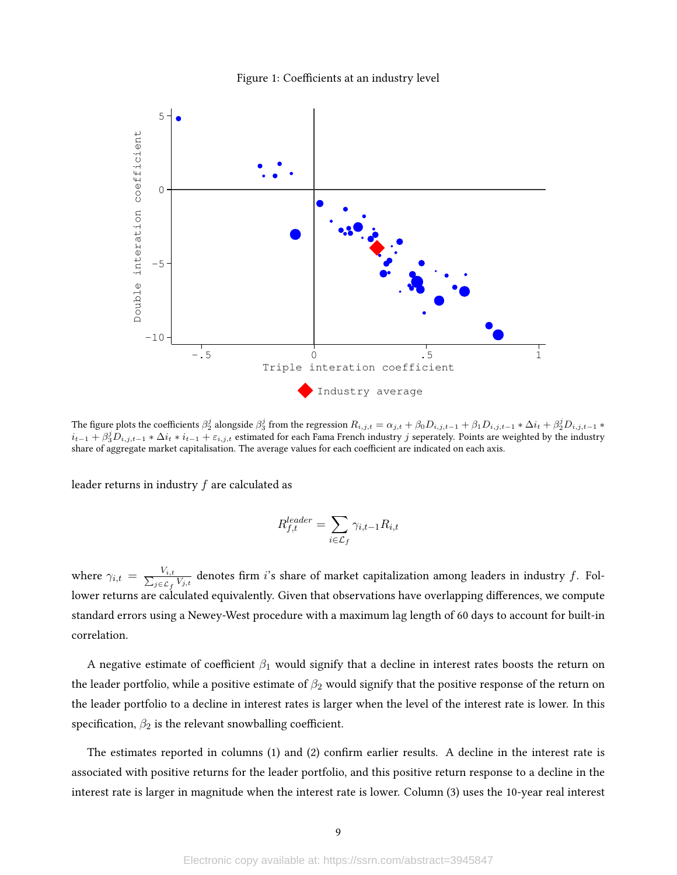

<span id="page-10-0"></span>

The figure plots the coefficients  $\beta_2^j$  alongside  $\beta_3^j$  from the regression  $R_{i,j,t}=\alpha_{j,t}+\beta_0 D_{i,j,t-1}+\beta_1 D_{i,j,t-1}*\Delta i_t+\beta_2^j D_{i,j,t-1}*$  $i_{t-1} + \beta_3^j \bar{D}_{i,j,t-1} * \Delta i_t * i_{t-1} + \varepsilon_{i,j,t}$  estimated for each Fama French industry  $j$  seperately. Points are weighted by the industry share of aggregate market capitalisation. The average values for each coefficient are indicated on each axis.

leader returns in industry  $f$  are calculated as

$$
R^{leader}_{f,t} = \sum_{i \in \mathcal{L}_f} \gamma_{i,t-1} R_{i,t}
$$

where  $\gamma_{i,t} = \frac{V_{i,t}}{\sum_{i \in \mathcal{L}_i} P_i}$  $\frac{v_{i,t}}{v_{j\in\mathcal{L}_f}V_{j,t}}$  denotes firm  $i$ 's share of market capitalization among leaders in industry  $f$ . Follower returns are calculated equivalently. Given that observations have overlapping differences, we compute standard errors using a Newey-West procedure with a maximum lag length of 60 days to account for built-in correlation.

A negative estimate of coefficient  $\beta_1$  would signify that a decline in interest rates boosts the return on the leader portfolio, while a positive estimate of  $\beta_2$  would signify that the positive response of the return on the leader portfolio to a decline in interest rates is larger when the level of the interest rate is lower. In this specification,  $\beta_2$  is the relevant snowballing coefficient.

The estimates reported in columns (1) and (2) confirm earlier results. A decline in the interest rate is associated with positive returns for the leader portfolio, and this positive return response to a decline in the interest rate is larger in magnitude when the interest rate is lower. Column (3) uses the 10-year real interest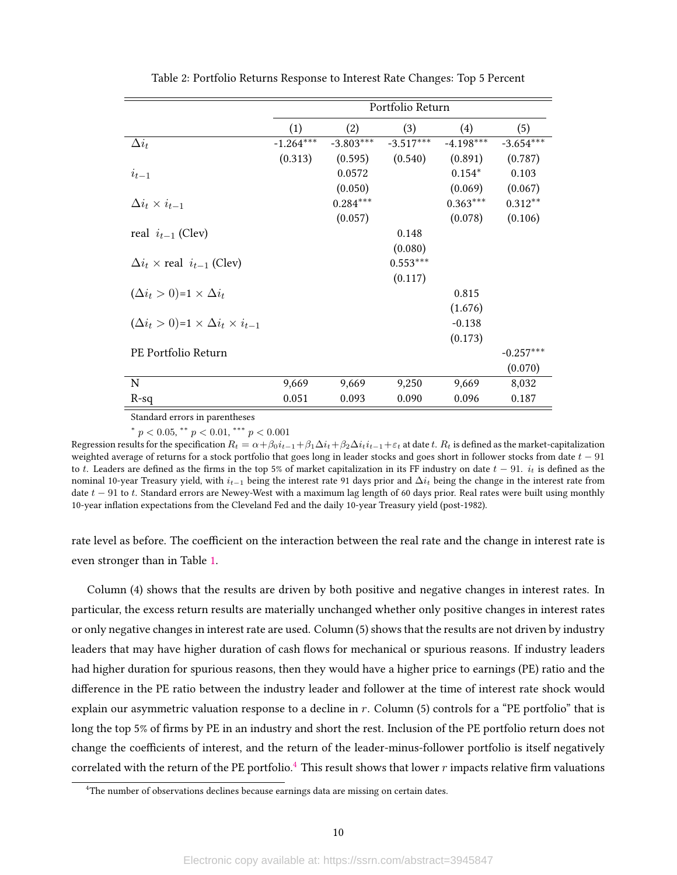<span id="page-11-0"></span>

|                                                       |             |             | Portfolio Return |             |             |
|-------------------------------------------------------|-------------|-------------|------------------|-------------|-------------|
|                                                       | (1)         | (2)         | (3)              | (4)         | (5)         |
| $\Delta i_t$                                          | $-1.264***$ | $-3.803***$ | $-3.517***$      | $-4.198***$ | $-3.654***$ |
|                                                       | (0.313)     | (0.595)     | (0.540)          | (0.891)     | (0.787)     |
| $i_{t-1}$                                             |             | 0.0572      |                  | $0.154*$    | 0.103       |
|                                                       |             | (0.050)     |                  | (0.069)     | (0.067)     |
| $\Delta i_t \times i_{t-1}$                           |             | $0.284***$  |                  | $0.363***$  | $0.312**$   |
|                                                       |             | (0.057)     |                  | (0.078)     | (0.106)     |
| real $i_{t-1}$ (Clev)                                 |             |             | 0.148            |             |             |
|                                                       |             |             | (0.080)          |             |             |
| $\Delta i_t \times$ real $i_{t-1}$ (Clev)             |             |             | $0.553***$       |             |             |
|                                                       |             |             | (0.117)          |             |             |
| $(\Delta i_t > 0)=1 \times \Delta i_t$                |             |             |                  | 0.815       |             |
|                                                       |             |             |                  | (1.676)     |             |
| $(\Delta i_t > 0)=1 \times \Delta i_t \times i_{t-1}$ |             |             |                  | $-0.138$    |             |
|                                                       |             |             |                  | (0.173)     |             |
| PE Portfolio Return                                   |             |             |                  |             | $-0.257***$ |
|                                                       |             |             |                  |             | (0.070)     |
| $\mathbf N$                                           | 9,669       | 9,669       | 9,250            | 9,669       | 8,032       |
| $R-sq$                                                | 0.051       | 0.093       | 0.090            | 0.096       | 0.187       |

Table 2: Portfolio Returns Response to Interest Rate Changes: Top 5 Percent

\*  $p < 0.05$ , \*\*  $p < 0.01$ , \*\*\*  $p < 0.001$ 

Regression results for the specification  $R_t = \alpha + \beta_0 i_{t-1} + \beta_1 \Delta i_t + \beta_2 \Delta i_t i_{t-1} + \varepsilon_t$  at date t.  $R_t$  is defined as the market-capitalization weighted average of returns for a stock portfolio that goes long in leader stocks and goes short in follower stocks from date  $t - 91$ to t. Leaders are defined as the firms in the top 5% of market capitalization in its FF industry on date  $t - 91$ .  $i_t$  is defined as the nominal 10-year Treasury yield, with  $i_{t-1}$  being the interest rate 91 days prior and  $\Delta i_t$  being the change in the interest rate from date t − 91 to t. Standard errors are Newey-West with a maximum lag length of 60 days prior. Real rates were built using monthly 10-year inflation expectations from the Cleveland Fed and the daily 10-year Treasury yield (post-1982).

rate level as before. The coefficient on the interaction between the real rate and the change in interest rate is even stronger than in Table [1.](#page-8-0)

Column (4) shows that the results are driven by both positive and negative changes in interest rates. In particular, the excess return results are materially unchanged whether only positive changes in interest rates or only negative changes in interest rate are used. Column (5) shows that the results are not driven by industry leaders that may have higher duration of cash flows for mechanical or spurious reasons. If industry leaders had higher duration for spurious reasons, then they would have a higher price to earnings (PE) ratio and the difference in the PE ratio between the industry leader and follower at the time of interest rate shock would explain our asymmetric valuation response to a decline in r. Column (5) controls for a "PE portfolio" that is long the top 5% of firms by PE in an industry and short the rest. Inclusion of the PE portfolio return does not change the coefficients of interest, and the return of the leader-minus-follower portfolio is itself negatively correlated with the return of the PE portfolio.<sup>[4](#page-11-1)</sup> This result shows that lower  $r$  impacts relative firm valuations

<span id="page-11-1"></span> $4$ The number of observations declines because earnings data are missing on certain dates.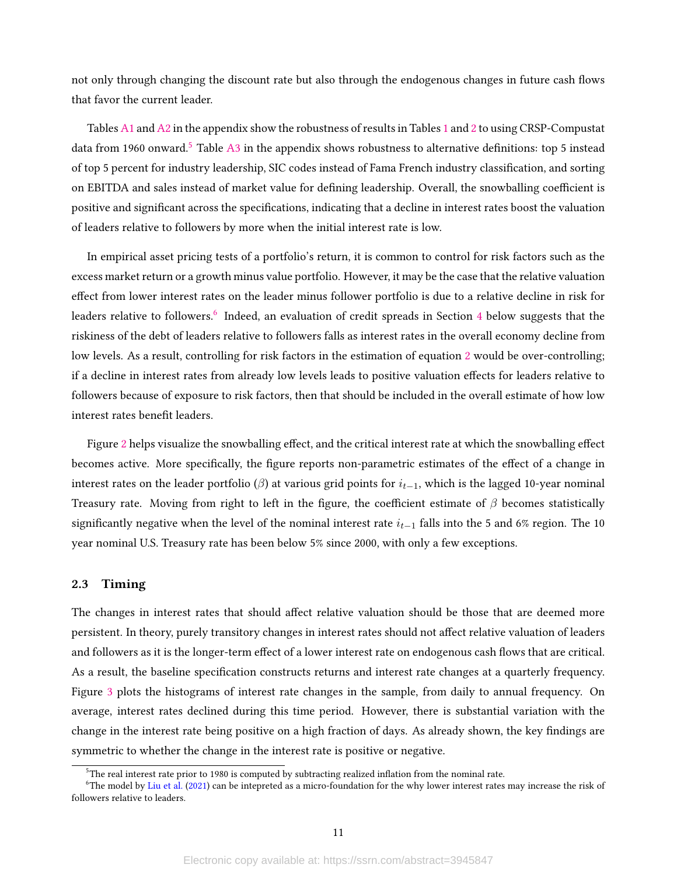not only through changing the discount rate but also through the endogenous changes in future cash flows that favor the current leader.

Tables [A1](#page-32-0) and [A2](#page-33-0) in the appendix show the robustness of results in Tables [1](#page-8-0) and [2](#page-11-0) to using CRSP-Compustat data from 1960 onward.<sup>[5](#page-12-0)</sup> Table [A3](#page-34-0) in the appendix shows robustness to alternative definitions: top 5 instead of top 5 percent for industry leadership, SIC codes instead of Fama French industry classification, and sorting on EBITDA and sales instead of market value for defining leadership. Overall, the snowballing coefficient is positive and significant across the specifications, indicating that a decline in interest rates boost the valuation of leaders relative to followers by more when the initial interest rate is low.

In empirical asset pricing tests of a portfolio's return, it is common to control for risk factors such as the excess market return or a growth minus value portfolio. However, it may be the case that the relative valuation effect from lower interest rates on the leader minus follower portfolio is due to a relative decline in risk for leaders relative to followers.<sup>[6](#page-12-1)</sup> Indeed, an evaluation of credit spreads in Section [4](#page-19-0) below suggests that the riskiness of the debt of leaders relative to followers falls as interest rates in the overall economy decline from low levels. As a result, controlling for risk factors in the estimation of equation [2](#page-9-0) would be over-controlling; if a decline in interest rates from already low levels leads to positive valuation effects for leaders relative to followers because of exposure to risk factors, then that should be included in the overall estimate of how low interest rates benefit leaders.

Figure [2](#page-13-0) helps visualize the snowballing effect, and the critical interest rate at which the snowballing effect becomes active. More specifically, the figure reports non-parametric estimates of the effect of a change in interest rates on the leader portfolio ( $\beta$ ) at various grid points for  $i_{t-1}$ , which is the lagged 10-year nominal Treasury rate. Moving from right to left in the figure, the coefficient estimate of  $\beta$  becomes statistically significantly negative when the level of the nominal interest rate  $i_{t-1}$  falls into the 5 and 6% region. The 10 year nominal U.S. Treasury rate has been below 5% since 2000, with only a few exceptions.

### 2.3 Timing

The changes in interest rates that should affect relative valuation should be those that are deemed more persistent. In theory, purely transitory changes in interest rates should not affect relative valuation of leaders and followers as it is the longer-term effect of a lower interest rate on endogenous cash flows that are critical. As a result, the baseline specification constructs returns and interest rate changes at a quarterly frequency. Figure [3](#page-14-0) plots the histograms of interest rate changes in the sample, from daily to annual frequency. On average, interest rates declined during this time period. However, there is substantial variation with the change in the interest rate being positive on a high fraction of days. As already shown, the key findings are symmetric to whether the change in the interest rate is positive or negative.

<span id="page-12-1"></span><span id="page-12-0"></span> $5$ The real interest rate prior to 1980 is computed by subtracting realized inflation from the nominal rate.

<sup>&</sup>lt;sup>6</sup>The model by [Liu et al.](#page-29-1) [\(2021\)](#page-29-1) can be intepreted as a micro-foundation for the why lower interest rates may increase the risk of followers relative to leaders.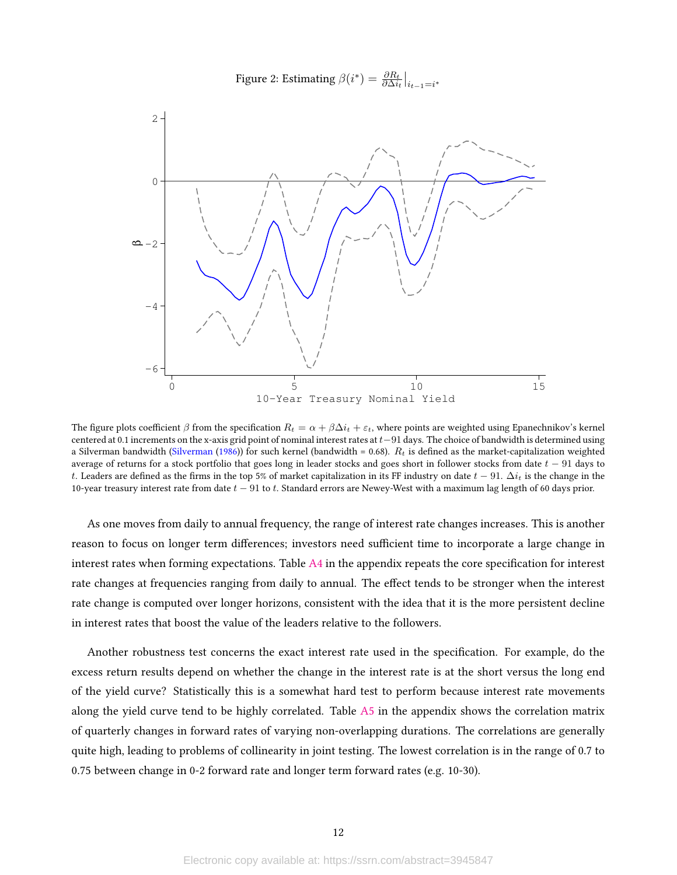<span id="page-13-0"></span>

Figure 2: Estimating  $\beta(i^*) = \frac{\partial R_t}{\partial \Delta i_t}\big|_{i_{t-1} = i^*}$ 

The figure plots coefficient  $\beta$  from the specification  $R_t = \alpha + \beta \Delta i_t + \varepsilon_t$ , where points are weighted using Epanechnikov's kernel centered at 0.1 increments on the x-axis grid point of nominal interest rates at  $t-91$  days. The choice of bandwidth is determined using a Silverman bandwidth [\(Silverman](#page-29-13) [\(1986\)](#page-29-13)) for such kernel (bandwidth = 0.68).  $R_t$  is defined as the market-capitalization weighted average of returns for a stock portfolio that goes long in leader stocks and goes short in follower stocks from date  $t - 91$  days to t. Leaders are defined as the firms in the top 5% of market capitalization in its FF industry on date  $t - 91$ .  $\Delta i_t$  is the change in the 10-year treasury interest rate from date  $t - 91$  to t. Standard errors are Newey-West with a maximum lag length of 60 days prior.

As one moves from daily to annual frequency, the range of interest rate changes increases. This is another reason to focus on longer term differences; investors need sufficient time to incorporate a large change in interest rates when forming expectations. Table  $A4$  in the appendix repeats the core specification for interest rate changes at frequencies ranging from daily to annual. The effect tends to be stronger when the interest rate change is computed over longer horizons, consistent with the idea that it is the more persistent decline in interest rates that boost the value of the leaders relative to the followers.

Another robustness test concerns the exact interest rate used in the specification. For example, do the excess return results depend on whether the change in the interest rate is at the short versus the long end of the yield curve? Statistically this is a somewhat hard test to perform because interest rate movements along the yield curve tend to be highly correlated. Table [A5](#page-36-0) in the appendix shows the correlation matrix of quarterly changes in forward rates of varying non-overlapping durations. The correlations are generally quite high, leading to problems of collinearity in joint testing. The lowest correlation is in the range of 0.7 to 0.75 between change in 0-2 forward rate and longer term forward rates (e.g. 10-30).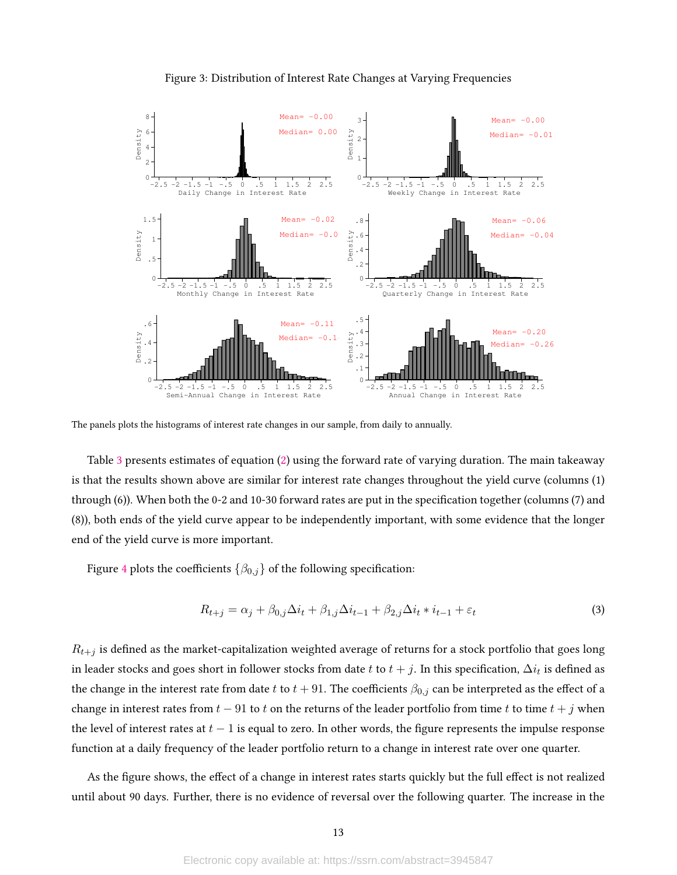#### Figure 3: Distribution of Interest Rate Changes at Varying Frequencies

<span id="page-14-0"></span>

The panels plots the histograms of interest rate changes in our sample, from daily to annually.

Table [3](#page-15-0) presents estimates of equation [\(2\)](#page-9-0) using the forward rate of varying duration. The main takeaway is that the results shown above are similar for interest rate changes throughout the yield curve (columns (1) through (6)). When both the 0-2 and 10-30 forward rates are put in the specification together (columns (7) and (8)), both ends of the yield curve appear to be independently important, with some evidence that the longer end of the yield curve is more important.

Figure [4](#page-16-0) plots the coefficients  $\{\beta_{0,j}\}$  of the following specification:

$$
R_{t+j} = \alpha_j + \beta_{0,j} \Delta i_t + \beta_{1,j} \Delta i_{t-1} + \beta_{2,j} \Delta i_t * i_{t-1} + \varepsilon_t
$$
\n(3)

 $R_{t+j}$  is defined as the market-capitalization weighted average of returns for a stock portfolio that goes long in leader stocks and goes short in follower stocks from date  $t$  to  $t+j.$  In this specification,  $\Delta i_t$  is defined as the change in the interest rate from date t to  $t + 91$ . The coefficients  $\beta_{0,i}$  can be interpreted as the effect of a change in interest rates from  $t - 91$  to  $t$  on the returns of the leader portfolio from time  $t$  to time  $t + j$  when the level of interest rates at  $t-1$  is equal to zero. In other words, the figure represents the impulse response function at a daily frequency of the leader portfolio return to a change in interest rate over one quarter.

As the figure shows, the effect of a change in interest rates starts quickly but the full effect is not realized until about 90 days. Further, there is no evidence of reversal over the following quarter. The increase in the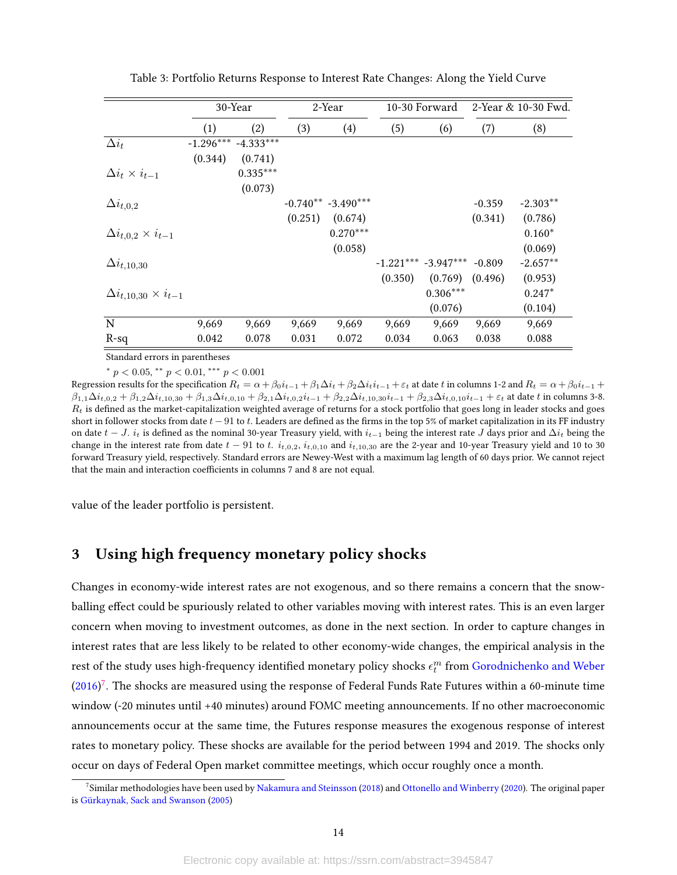<span id="page-15-0"></span>

|                                     |         | 30-Year                 |         | 2-Year               |         | 10-30 Forward                    |          | 2-Year & 10-30 Fwd. |
|-------------------------------------|---------|-------------------------|---------|----------------------|---------|----------------------------------|----------|---------------------|
|                                     | (1)     | (2)                     | (3)     | (4)                  | (5)     | (6)                              | (7)      | (8)                 |
| $\Delta i_t$                        |         | $-1.296***$ $-4.333***$ |         |                      |         |                                  |          |                     |
|                                     | (0.344) | (0.741)                 |         |                      |         |                                  |          |                     |
| $\Delta i_t \times i_{t-1}$         |         | $0.335***$              |         |                      |         |                                  |          |                     |
|                                     |         | (0.073)                 |         |                      |         |                                  |          |                     |
| $\Delta i_{t,0,2}$                  |         |                         |         | $-0.740** -3.490***$ |         |                                  | $-0.359$ | $-2.303**$          |
|                                     |         |                         | (0.251) | (0.674)              |         |                                  | (0.341)  | (0.786)             |
| $\Delta i_{t,0,2} \times i_{t-1}$   |         |                         |         | $0.270***$           |         |                                  |          | $0.160*$            |
|                                     |         |                         |         | (0.058)              |         |                                  |          | (0.069)             |
| $\Delta i_{t,10,30}$                |         |                         |         |                      |         | $-1.221***$ $-3.947***$ $-0.809$ |          | $-2.657**$          |
|                                     |         |                         |         |                      | (0.350) | $(0.769)$ $(0.496)$              |          | (0.953)             |
| $\Delta i_{t,10,30} \times i_{t-1}$ |         |                         |         |                      |         | $0.306***$                       |          | $0.247*$            |
|                                     |         |                         |         |                      |         | (0.076)                          |          | (0.104)             |
| $\mathbf N$                         | 9,669   | 9,669                   | 9,669   | 9,669                | 9,669   | 9,669                            | 9,669    | 9,669               |
| $R-sq$                              | 0.042   | 0.078                   | 0.031   | 0.072                | 0.034   | 0.063                            | 0.038    | 0.088               |

Table 3: Portfolio Returns Response to Interest Rate Changes: Along the Yield Curve

\*  $p < 0.05$ , \*\*  $p < 0.01$ , \*\*\*  $p < 0.001$ 

Regression results for the specification  $R_t = \alpha + \beta_0 i_{t-1} + \beta_1 \Delta i_t + \beta_2 \Delta i_t i_{t-1} + \varepsilon_t$  at date t in columns 1-2 and  $R_t = \alpha + \beta_0 i_{t-1} + \beta_1 i_{t-1} + \varepsilon_1 i_t$  $\beta_{1,1}\Delta i_{t,0,2} + \beta_{1,2}\Delta i_{t,10,30} + \beta_{1,3}\Delta i_{t,0,10} + \beta_{2,1}\Delta i_{t,0,2}i_{t-1} + \beta_{2,2}\Delta i_{t,10,30}i_{t-1} + \beta_{2,3}\Delta i_{t,0,10}i_{t-1} + \varepsilon_t$  at date t in columns 3-8.  $R_t$  is defined as the market-capitalization weighted average of returns for a stock portfolio that goes long in leader stocks and goes short in follower stocks from date  $t-91$  to  $t$ . Leaders are defined as the firms in the top 5% of market capitalization in its FF industry on date  $t - J$ .  $i_t$  is defined as the nominal 30-year Treasury yield, with  $i_{t-1}$  being the interest rate J days prior and  $\Delta i_t$  being the change in the interest rate from date  $t - 91$  to t.  $i_{t,0,2}$ ,  $i_{t,0,10}$  and  $i_{t,10,30}$  are the 2-year and 10-year Treasury yield and 10 to 30 forward Treasury yield, respectively. Standard errors are Newey-West with a maximum lag length of 60 days prior. We cannot reject that the main and interaction coefficients in columns 7 and 8 are not equal.

<span id="page-15-2"></span>value of the leader portfolio is persistent.

## 3 Using high frequency monetary policy shocks

Changes in economy-wide interest rates are not exogenous, and so there remains a concern that the snowballing effect could be spuriously related to other variables moving with interest rates. This is an even larger concern when moving to investment outcomes, as done in the next section. In order to capture changes in interest rates that are less likely to be related to other economy-wide changes, the empirical analysis in the rest of the study uses high-frequency identified monetary policy shocks  $\epsilon^m_t$  from [Gorodnichenko and Weber](#page-28-4)  $(2016)^7$  $(2016)^7$  $(2016)^7$ . The shocks are measured using the response of Federal Funds Rate Futures within a 60-minute time window (-20 minutes until +40 minutes) around FOMC meeting announcements. If no other macroeconomic announcements occur at the same time, the Futures response measures the exogenous response of interest rates to monetary policy. These shocks are available for the period between 1994 and 2019. The shocks only occur on days of Federal Open market committee meetings, which occur roughly once a month.

<span id="page-15-1"></span><sup>7</sup> Similar methodologies have been used by [Nakamura and Steinsson](#page-29-14) [\(2018\)](#page-29-14) and [Ottonello and Winberry](#page-29-10) [\(2020\)](#page-29-10). The original paper is [Gürkaynak, Sack and Swanson](#page-28-12) [\(2005\)](#page-28-12)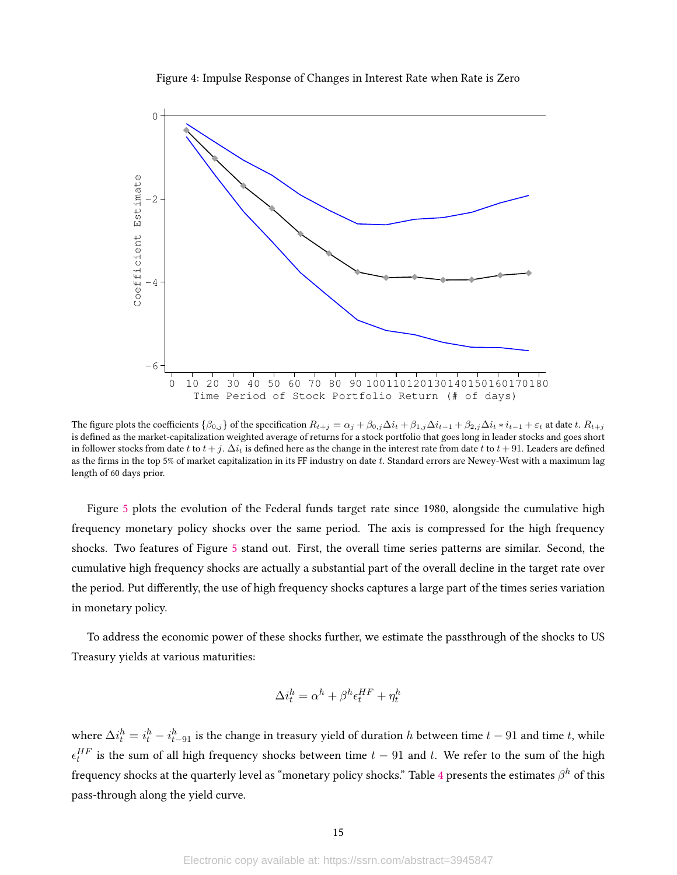Figure 4: Impulse Response of Changes in Interest Rate when Rate is Zero

<span id="page-16-0"></span>

The figure plots the coefficients { $\beta_{0,j}$ } of the specification  $R_{t+j} = \alpha_j + \beta_{0,j}\Delta i_t + \beta_{1,j}\Delta i_{t-1} + \beta_{2,j}\Delta i_t * i_{t-1} + \varepsilon_t$  at date t.  $R_{t+j}$ is defined as the market-capitalization weighted average of returns for a stock portfolio that goes long in leader stocks and goes short in follower stocks from date t to  $t + j$ .  $\Delta i_t$  is defined here as the change in the interest rate from date t to  $t + 91$ . Leaders are defined as the firms in the top 5% of market capitalization in its FF industry on date t. Standard errors are Newey-West with a maximum lag length of 60 days prior.

Figure [5](#page-17-0) plots the evolution of the Federal funds target rate since 1980, alongside the cumulative high frequency monetary policy shocks over the same period. The axis is compressed for the high frequency shocks. Two features of Figure [5](#page-17-0) stand out. First, the overall time series patterns are similar. Second, the cumulative high frequency shocks are actually a substantial part of the overall decline in the target rate over the period. Put differently, the use of high frequency shocks captures a large part of the times series variation in monetary policy.

To address the economic power of these shocks further, we estimate the passthrough of the shocks to US Treasury yields at various maturities:

$$
\Delta i_t^h = \alpha^h + \beta^h \epsilon_t^{HF} + \eta_t^h
$$

where  $\Delta i^h_t=i^h_t-i^h_{t-91}$  is the change in treasury yield of duration  $h$  between time  $t-91$  and time  $t$ , while  $\epsilon_t^{HF}$  is the sum of all high frequency shocks between time  $t-91$  and  $t$ . We refer to the sum of the high frequency shocks at the quarterly level as "monetary policy shocks." Table [4](#page-17-1) presents the estimates  $\beta^h$  of this pass-through along the yield curve.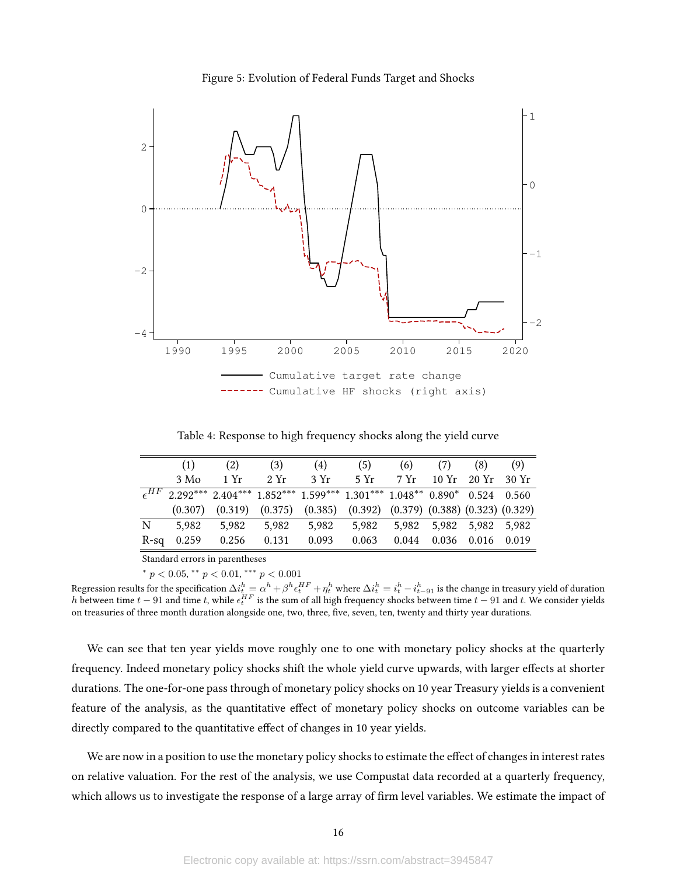

<span id="page-17-0"></span>

Table 4: Response to high frequency shocks along the yield curve

<span id="page-17-1"></span>

|        | (1)                                                                                     | (2)                                                                                       | (3)   | (4)   | (5)   | (6)   | (7) | (8)                         | (9)   |
|--------|-----------------------------------------------------------------------------------------|-------------------------------------------------------------------------------------------|-------|-------|-------|-------|-----|-----------------------------|-------|
|        | 3 Mo                                                                                    | 1 Yr                                                                                      | 2 Yr  | 3Yr   | 5 Yr  | 7 Yr  |     | $10 \text{ Yr}$ 20 Yr 30 Yr |       |
|        | $\epsilon^{HF}$ 2.292*** 2.404*** 1.852*** 1.599*** 1.301*** 1.048** 0.890* 0.524 0.560 |                                                                                           |       |       |       |       |     |                             |       |
|        |                                                                                         | $(0.307)$ $(0.319)$ $(0.375)$ $(0.385)$ $(0.392)$ $(0.379)$ $(0.388)$ $(0.323)$ $(0.329)$ |       |       |       |       |     |                             |       |
| N      | 5.982                                                                                   | 5.982                                                                                     | 5.982 | 5,982 | 5.982 |       |     | 5,982 5,982 5,982 5,982     |       |
| $R-sq$ | 0.259                                                                                   | 0.256                                                                                     | 0.131 | 0.093 | 0.063 | 0.044 |     | 0.036 0.016                 | 0.019 |

\*  $p < 0.05$ , \*\*  $p < 0.01$ , \*\*\*  $p < 0.001$ 

Regression results for the specification  $\Delta i^h_t=\alpha^h+\beta^h\epsilon^{HF}_t+\eta^h_t$  where  $\Delta i^h_t=i^h_t-i^h_{t-91}$  is the change in treasury yield of duration h between time  $t$  − 91 and time  $t$ , while  $\epsilon_t^{HF}$  is the sum of all high frequency shocks between time  $t$  − 91 and  $t$ . We consider yields on treasuries of three month duration alongside one, two, three, five, seven, ten, twenty and thirty year durations.

We can see that ten year yields move roughly one to one with monetary policy shocks at the quarterly frequency. Indeed monetary policy shocks shift the whole yield curve upwards, with larger effects at shorter durations. The one-for-one pass through of monetary policy shocks on 10 year Treasury yields is a convenient feature of the analysis, as the quantitative effect of monetary policy shocks on outcome variables can be directly compared to the quantitative effect of changes in 10 year yields.

We are now in a position to use the monetary policy shocks to estimate the effect of changes in interest rates on relative valuation. For the rest of the analysis, we use Compustat data recorded at a quarterly frequency, which allows us to investigate the response of a large array of firm level variables. We estimate the impact of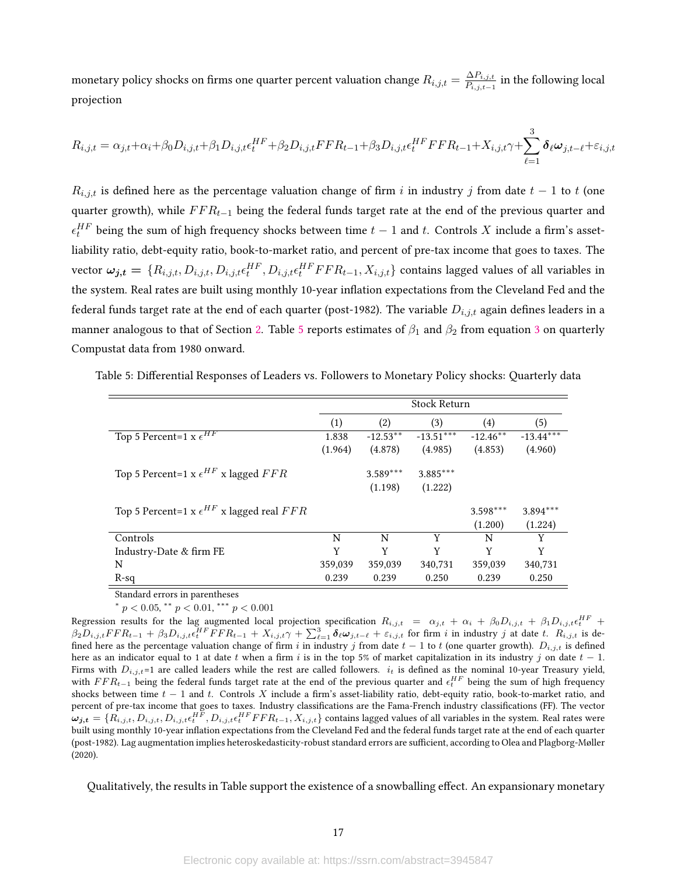monetary policy shocks on firms one quarter percent valuation change  $R_{i,j,t} = \frac{\Delta P_{i,j,t}}{P_{i,j,t}}$  $\frac{\Delta T_{i,j,t}}{P_{i,j,t-1}}$  in the following local projection

$$
R_{i,j,t} = \alpha_{j,t} + \alpha_i + \beta_0 D_{i,j,t} + \beta_1 D_{i,j,t} \epsilon_t^{HF} + \beta_2 D_{i,j,t} FFR_{t-1} + \beta_3 D_{i,j,t} \epsilon_t^{HF} FFR_{t-1} + X_{i,j,t} \gamma + \sum_{\ell=1}^3 \delta_\ell \omega_{j,t-\ell} + \varepsilon_{i,j,t}
$$

 $R_{i,j,t}$  is defined here as the percentage valuation change of firm i in industry j from date  $t-1$  to t (one quarter growth), while  $FFR_{t-1}$  being the federal funds target rate at the end of the previous quarter and  $\epsilon_t^{HF}$  being the sum of high frequency shocks between time  $t-1$  and  $t.$  Controls  $X$  include a firm's assetliability ratio, debt-equity ratio, book-to-market ratio, and percent of pre-tax income that goes to taxes. The vector  $\omega_{j,t}=\{R_{i,j,t},D_{i,j,t},D_{i,j,t}\epsilon^{HF}_t, D_{i,j,t}\epsilon^{HF}_tFFR_{t-1}, X_{i,j,t}\}$  contains lagged values of all variables in the system. Real rates are built using monthly 10-year inflation expectations from the Cleveland Fed and the federal funds target rate at the end of each quarter (post-1982). The variable  $D_{i,j,t}$  again defines leaders in a manner analogous to that of Section [2.](#page-6-1) Table [5](#page-18-0) reports estimates of  $\beta_1$  and  $\beta_2$  from equation [3](#page-17-1) on quarterly Compustat data from 1980 onward.

|                                                       |         |             | Stock Return |             |             |
|-------------------------------------------------------|---------|-------------|--------------|-------------|-------------|
|                                                       | (1)     | (2)         | (3)          | (4)         | (5)         |
| Top 5 Percent=1 $x \in HF$                            | 1.838   | $-12.53***$ | $-13.51***$  | $-12.46***$ | $-13.44***$ |
|                                                       | (1.964) | (4.878)     | (4.985)      | (4.853)     | (4.960)     |
| Top 5 Percent=1 x $\epsilon^{HF}$ x lagged $FFR$      |         | $3.589***$  | $3.885***$   |             |             |
|                                                       |         | (1.198)     | (1.222)      |             |             |
| Top 5 Percent=1 x $\epsilon^{HF}$ x lagged real $FFR$ |         |             |              | $3.598***$  | $3.894***$  |
|                                                       |         |             |              | (1.200)     | (1.224)     |
| Controls                                              | N       | N           | Y            | N           | Y           |
| Industry-Date & firm FE                               | Y       | Y           | Y            | Y           | Y           |
| N                                                     | 359,039 | 359,039     | 340,731      | 359,039     | 340,731     |
| $R-sq$                                                | 0.239   | 0.239       | 0.250        | 0.239       | 0.250       |

<span id="page-18-0"></span>Table 5: Differential Responses of Leaders vs. Followers to Monetary Policy shocks: Quarterly data

Standard errors in parentheses

\*  $p < 0.05$ , \*\*  $p < 0.01$ , \*\*\*  $p < 0.001$ 

Regression results for the lag augmented local projection specification  $R_{i,j,t}$  =  $\alpha_{j,t}$  +  $\alpha_i$  +  $\beta_0 D_{i,j,t}$  +  $\beta_1 D_{i,j,t} \epsilon_t^{HF}$  +  $\beta_2 D_{i,j,t} FFR_{t-1} + \beta_3 D_{i,j,t} \epsilon_t^{HF} \tilde{F}FR_{t-1} + X_{i,j,t} \gamma + \sum_{\ell=1}^3 \delta_\ell \omega_{j,t-\ell} + \varepsilon_{i,j,t}$  for firm i in industry j at date t.  $R_{i,j,t}$  is defined here as the percentage valuation change of firm i in industry j from date  $t - 1$  to t (one quarter growth).  $D_{i,j,t}$  is defined here as an indicator equal to 1 at date t when a firm i is in the top 5% of market capitalization in its industry j on date  $t - 1$ . Firms with  $D_{i,j,t}=1$  are called leaders while the rest are called followers.  $i_t$  is defined as the nominal 10-year Treasury yield, with  $FFR_{t-1}$  being the federal funds target rate at the end of the previous quarter and  $\epsilon_t^{HF}$  being the sum of high frequency shocks between time  $t - 1$  and t. Controls X include a firm's asset-liability ratio, debt-equity ratio, book-to-market ratio, and percent of pre-tax income that goes to taxes. Industry classifications are the Fama-French industry classifications (FF). The vector  $\bm{\omega_{j,t}}=\{R_{i,j,t},D_{i,j,t},D_{i,j,t}\epsilon_{t}^{HF},D_{i,j,t}\epsilon_{t}^{HF}FFR_{t-1},X_{i,j,t}\}$  contains lagged values of all variables in the system. Real rates were built using monthly 10-year inflation expectations from the Cleveland Fed and the federal funds target rate at the end of each quarter (post-1982). Lag augmentation implies heteroskedasticity-robust standard errors are sufficient, according to Olea and Plagborg-Møller (2020).

Qualitatively, the results in Table support the existence of a snowballing effect. An expansionary monetary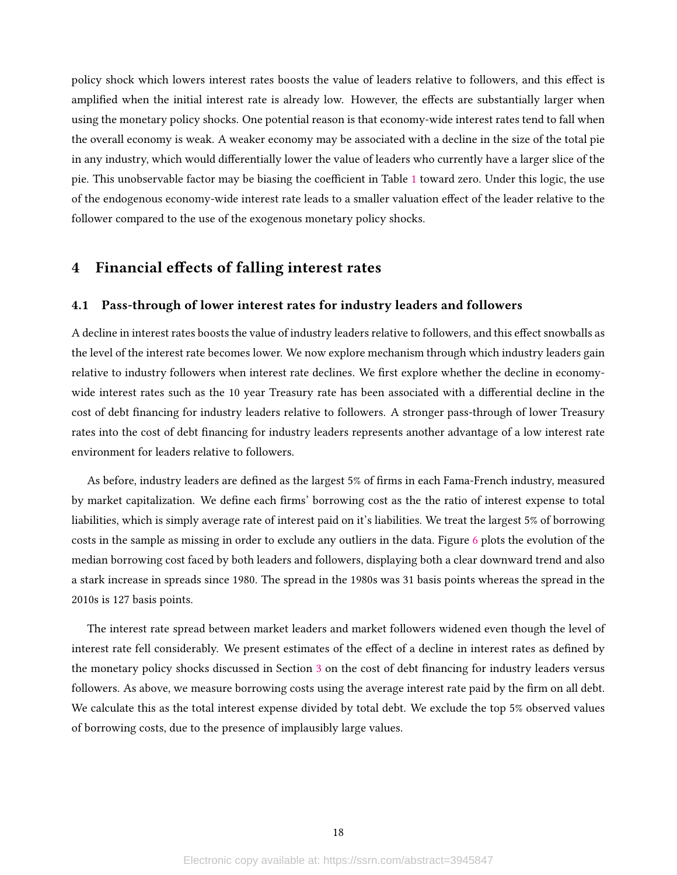policy shock which lowers interest rates boosts the value of leaders relative to followers, and this effect is amplified when the initial interest rate is already low. However, the effects are substantially larger when using the monetary policy shocks. One potential reason is that economy-wide interest rates tend to fall when the overall economy is weak. A weaker economy may be associated with a decline in the size of the total pie in any industry, which would differentially lower the value of leaders who currently have a larger slice of the pie. This unobservable factor may be biasing the coefficient in Table [1](#page-8-0) toward zero. Under this logic, the use of the endogenous economy-wide interest rate leads to a smaller valuation effect of the leader relative to the follower compared to the use of the exogenous monetary policy shocks.

## <span id="page-19-0"></span>4 Financial effects of falling interest rates

#### 4.1 Pass-through of lower interest rates for industry leaders and followers

A decline in interest rates boosts the value of industry leaders relative to followers, and this effect snowballs as the level of the interest rate becomes lower. We now explore mechanism through which industry leaders gain relative to industry followers when interest rate declines. We first explore whether the decline in economywide interest rates such as the 10 year Treasury rate has been associated with a differential decline in the cost of debt financing for industry leaders relative to followers. A stronger pass-through of lower Treasury rates into the cost of debt financing for industry leaders represents another advantage of a low interest rate environment for leaders relative to followers.

As before, industry leaders are defined as the largest 5% of firms in each Fama-French industry, measured by market capitalization. We define each firms' borrowing cost as the the ratio of interest expense to total liabilities, which is simply average rate of interest paid on it's liabilities. We treat the largest 5% of borrowing costs in the sample as missing in order to exclude any outliers in the data. Figure [6](#page-20-0) plots the evolution of the median borrowing cost faced by both leaders and followers, displaying both a clear downward trend and also a stark increase in spreads since 1980. The spread in the 1980s was 31 basis points whereas the spread in the 2010s is 127 basis points.

The interest rate spread between market leaders and market followers widened even though the level of interest rate fell considerably. We present estimates of the effect of a decline in interest rates as defined by the monetary policy shocks discussed in Section [3](#page-15-2) on the cost of debt financing for industry leaders versus followers. As above, we measure borrowing costs using the average interest rate paid by the firm on all debt. We calculate this as the total interest expense divided by total debt. We exclude the top 5% observed values of borrowing costs, due to the presence of implausibly large values.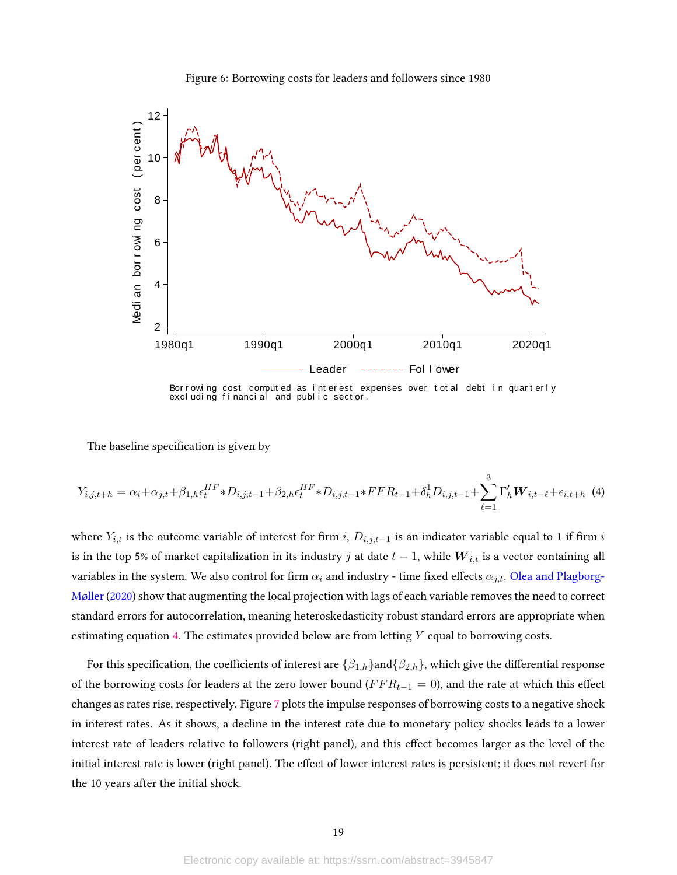

<span id="page-20-0"></span>

Borrowing cost computed as interest expenses over total debt in quarterly<br>excluding financial and public sector.

The baseline specification is given by

<span id="page-20-1"></span>
$$
Y_{i,j,t+h} = \alpha_i + \alpha_{j,t} + \beta_{1,h}\epsilon_t^{HF} * D_{i,j,t-1} + \beta_{2,h}\epsilon_t^{HF} * D_{i,j,t-1} * FFR_{t-1} + \delta_h^1 D_{i,j,t-1} + \sum_{\ell=1}^3 \Gamma_h' W_{i,t-\ell} + \epsilon_{i,t+h} \tag{4}
$$

where  $Y_{i,t}$  is the outcome variable of interest for firm i,  $D_{i,j,t-1}$  is an indicator variable equal to 1 if firm i is in the top 5% of market capitalization in its industry j at date  $t-1$ , while  $W_{i,t}$  is a vector containing all variables in the system. We also control for firm  $\alpha_i$  and industry - time fixed effects  $\alpha_{j,t}$ . [Olea and Plagborg-](#page-29-15)[Møller](#page-29-15) [\(2020\)](#page-29-15) show that augmenting the local projection with lags of each variable removes the need to correct standard errors for autocorrelation, meaning heteroskedasticity robust standard errors are appropriate when estimating equation [4.](#page-20-1) The estimates provided below are from letting  $Y$  equal to borrowing costs.

For this specification, the coefficients of interest are  $\{\beta_{1,h}\}$  and  $\{\beta_{2,h}\}$ , which give the differential response of the borrowing costs for leaders at the zero lower bound ( $FFR_{t-1} = 0$ ), and the rate at which this effect changes as rates rise, respectively. Figure [7](#page-21-0) plots the impulse responses of borrowing costs to a negative shock in interest rates. As it shows, a decline in the interest rate due to monetary policy shocks leads to a lower interest rate of leaders relative to followers (right panel), and this effect becomes larger as the level of the initial interest rate is lower (right panel). The effect of lower interest rates is persistent; it does not revert for the 10 years after the initial shock.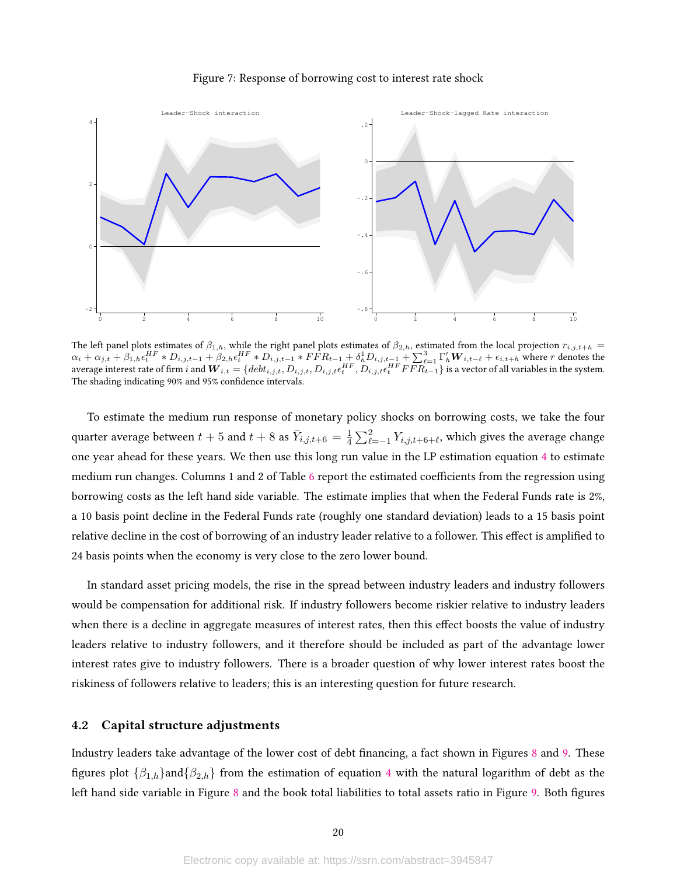#### Figure 7: Response of borrowing cost to interest rate shock

<span id="page-21-0"></span>

The left panel plots estimates of  $\beta_{1,h}$ , while the right panel plots estimates of  $\beta_{2,h}$ , estimated from the local projection  $r_{i,j,t+h}$  $\alpha_i + \alpha_{j,t} + \beta_{1,h} \epsilon_t^{HF} * D_{i,j,t-1} + \beta_{2,h} \epsilon_t^{HF} * D_{i,j,t-1} * FFR_{t-1} + \beta_h^1 D_{i,j,t-1} + \sum_{\ell=1}^3 \Gamma_h' W_{i,t-\ell} + \epsilon_{i,t+h}$  where r denotes the average interest rate of firm  $i$  and  $\bm{W}_{i,t}=\{debt_{i,j,t}, D_{i,j,t}, b_{i,j,t}\epsilon^{HF}_t, D_{i,j,t}\epsilon^{HF}_t FFR_{t-1}\}$  is a vector of all variables in the system. The shading indicating 90% and 95% confidence intervals.

To estimate the medium run response of monetary policy shocks on borrowing costs, we take the four quarter average between  $t+5$  and  $t+8$  as  $\bar{Y}_{i,j,t+6} = \frac{1}{4}$  $\frac{1}{4}\sum_{\ell=-1}^2 Y_{i,j,t+6+\ell}$ , which gives the average change one year ahead for these years. We then use this long run value in the LP estimation equation [4](#page-20-1) to estimate medium run changes. Columns 1 and 2 of Table [6](#page-22-0) report the estimated coefficients from the regression using borrowing costs as the left hand side variable. The estimate implies that when the Federal Funds rate is 2%, a 10 basis point decline in the Federal Funds rate (roughly one standard deviation) leads to a 15 basis point relative decline in the cost of borrowing of an industry leader relative to a follower. This effect is amplified to 24 basis points when the economy is very close to the zero lower bound.

In standard asset pricing models, the rise in the spread between industry leaders and industry followers would be compensation for additional risk. If industry followers become riskier relative to industry leaders when there is a decline in aggregate measures of interest rates, then this effect boosts the value of industry leaders relative to industry followers, and it therefore should be included as part of the advantage lower interest rates give to industry followers. There is a broader question of why lower interest rates boost the riskiness of followers relative to leaders; this is an interesting question for future research.

#### 4.2 Capital structure adjustments

Industry leaders take advantage of the lower cost of debt financing, a fact shown in Figures [8](#page-23-0) and [9.](#page-23-1) These figures plot  $\{\beta_{1,h}\}$ and $\{\beta_{2,h}\}$  from the estimation of equation [4](#page-20-1) with the natural logarithm of debt as the left hand side variable in Figure [8](#page-23-0) and the book total liabilities to total assets ratio in Figure [9.](#page-23-1) Both figures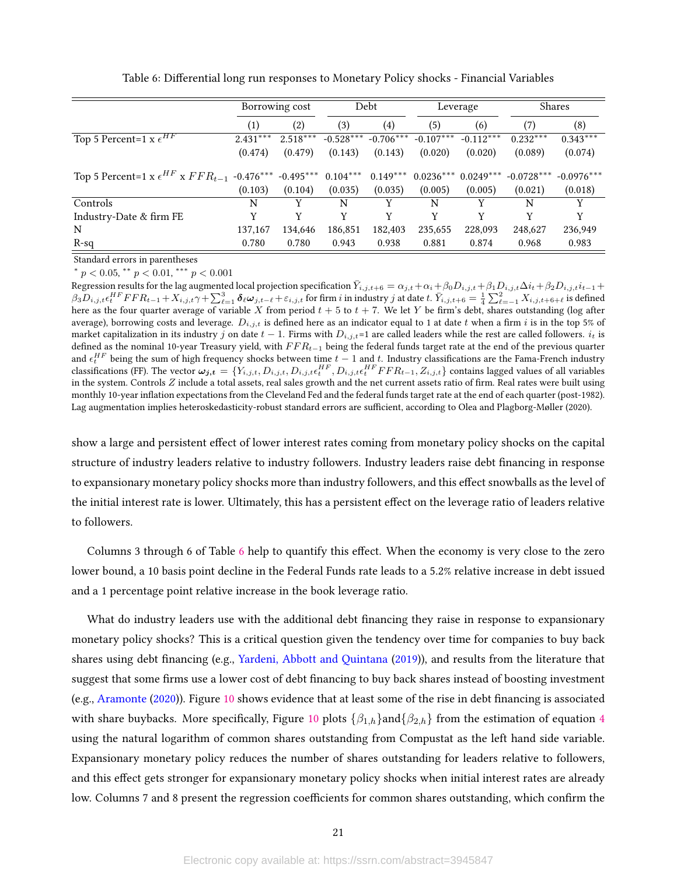<span id="page-22-0"></span>

|                                                                              | Borrowing cost |            |             | Debt        |                         | Leverage    |                           | Shares     |
|------------------------------------------------------------------------------|----------------|------------|-------------|-------------|-------------------------|-------------|---------------------------|------------|
|                                                                              | (1)            | (2)        | (3)         | (4)         | (5)                     | (6)         | (7)                       | (8)        |
| Top 5 Percent=1 x $\epsilon^{HF}$                                            | $2.431***$     | $2.518***$ | $-0.528***$ | $-0.706***$ | $-0.107***$             | $-0.112***$ | $0.232***$                | $0.343***$ |
|                                                                              | (0.474)        | (0.479)    | (0.143)     | (0.143)     | (0.020)                 | (0.020)     | (0.089)                   | (0.074)    |
| Top 5 Percent=1 x $\epsilon^{HF}$ x $FFR_{t-1}$ -0.476*** -0.495*** 0.104*** |                |            |             | $0.149***$  | $0.0236***$ $0.0249***$ |             | $-0.0728***$ $-0.0976***$ |            |
|                                                                              | (0.103)        | (0.104)    | (0.035)     | (0.035)     | (0.005)                 | (0.005)     | (0.021)                   | (0.018)    |
| Controls                                                                     | N              | Y          | N           | v           | N                       | V           | N                         | Y          |
| Industry-Date & firm FE                                                      | v              | Y          | Y           | Y           |                         | v           | Y                         | Y          |
| N                                                                            | 137,167        | 134,646    | 186,851     | 182,403     | 235,655                 | 228,093     | 248,627                   | 236,949    |
| $R-sq$                                                                       | 0.780          | 0.780      | 0.943       | 0.938       | 0.881                   | 0.874       | 0.968                     | 0.983      |

Table 6: Differential long run responses to Monetary Policy shocks - Financial Variables

\*  $p < 0.05$ , \*\*  $p < 0.01$ , \*\*\*  $p < 0.001$ 

Regression results for the lag augmented local projection specification  $\overline{Y}_{i,j,t+6} = \alpha_{j,t} + \alpha_i + \beta_0 D_{i,j,t} + \beta_1 D_{i,j,t} \Delta i_t + \beta_2 D_{i,j,t} i_{t-1} +$  $\beta_3D_{i,j,t}\epsilon_t^{HF}FFR_{t-1}+X_{i,j,t}\gamma+\sum_{\ell=1}^3\bm{\delta}_\ell\bm{\omega}_{j,t-\ell}+\varepsilon_{i,j,t}$  for firm  $i$  in industry  $j$  at date  $t.$   $\bar Y_{i,j,t+6}=\frac{1}{4}\sum_{\ell=-1}^2 X_{i,j,t+6+\ell}$  is defined here as the four quarter average of variable X from period  $t + 5$  to  $t + 7$ . We let Y be firm's debt, shares outstanding (log after average), borrowing costs and leverage.  $D_{i,j,t}$  is defined here as an indicator equal to 1 at date t when a firm i is in the top 5% of market capitalization in its industry j on date  $t-1$ . Firms with  $D_{i,j,t}=1$  are called leaders while the rest are called followers.  $i_t$  is defined as the nominal 10-year Treasury yield, with  $FFR_{t-1}$  being the federal funds target rate at the end of the previous quarter and  $\epsilon^{HF}_t$  being the sum of high frequency shocks between time  $t-1$  and  $t.$  Industry classifications are the Fama-French industry classifications (FF). The vector  $\bm{\omega_{j,t}}=\{Y_{i,j,t},D_{i,j,t},D_{i,j,t}\epsilon^{HF}_t,D_{i,j,t}\epsilon^{HF}_tFFR_{t-1},Z_{i,j,t}\}$  contains lagged values of all variables in the system. Controls  $Z$  include a total assets, real sales growth and the net current assets ratio of firm. Real rates were built using monthly 10-year inflation expectations from the Cleveland Fed and the federal funds target rate at the end of each quarter (post-1982). Lag augmentation implies heteroskedasticity-robust standard errors are sufficient, according to Olea and Plagborg-Møller (2020).

show a large and persistent effect of lower interest rates coming from monetary policy shocks on the capital structure of industry leaders relative to industry followers. Industry leaders raise debt financing in response to expansionary monetary policy shocks more than industry followers, and this effect snowballs as the level of the initial interest rate is lower. Ultimately, this has a persistent effect on the leverage ratio of leaders relative to followers.

Columns 3 through [6](#page-22-0) of Table 6 help to quantify this effect. When the economy is very close to the zero lower bound, a 10 basis point decline in the Federal Funds rate leads to a 5.2% relative increase in debt issued and a 1 percentage point relative increase in the book leverage ratio.

What do industry leaders use with the additional debt financing they raise in response to expansionary monetary policy shocks? This is a critical question given the tendency over time for companies to buy back shares using debt financing (e.g., [Yardeni, Abbott and Quintana](#page-30-0) [\(2019\)](#page-30-0)), and results from the literature that suggest that some firms use a lower cost of debt financing to buy back shares instead of boosting investment (e.g., [Aramonte](#page-28-13) [\(2020\)](#page-28-13)). Figure [10](#page-24-0) shows evidence that at least some of the rise in debt financing is associated with share buybacks. More specifically, Figure [10](#page-24-0) plots  $\{\beta_{1,h}\}\text{and}\{\beta_{2,h}\}\$  from the estimation of equation [4](#page-20-1) using the natural logarithm of common shares outstanding from Compustat as the left hand side variable. Expansionary monetary policy reduces the number of shares outstanding for leaders relative to followers, and this effect gets stronger for expansionary monetary policy shocks when initial interest rates are already low. Columns 7 and 8 present the regression coefficients for common shares outstanding, which confirm the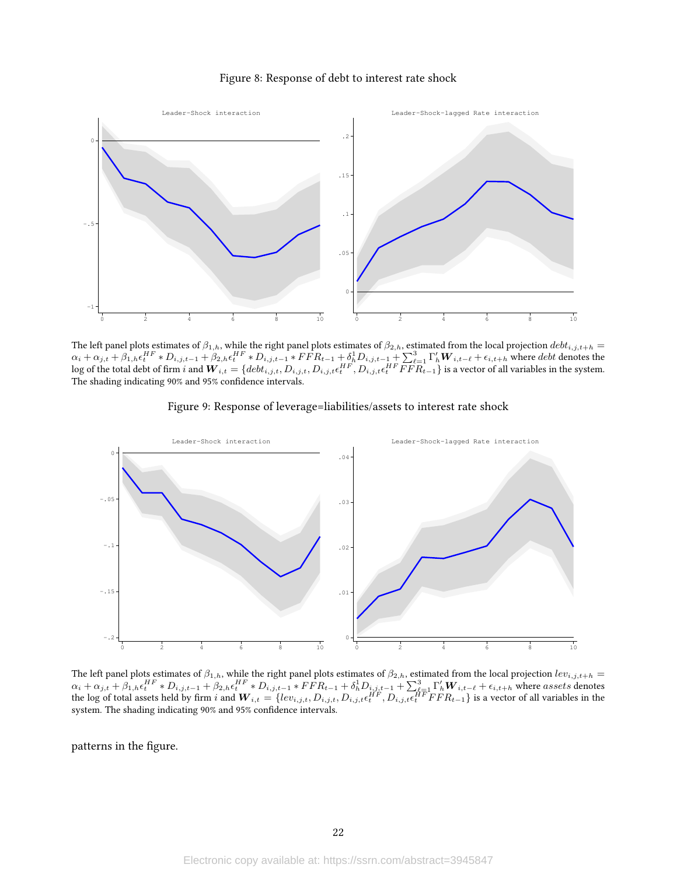#### Figure 8: Response of debt to interest rate shock

<span id="page-23-0"></span>

The left panel plots estimates of  $\beta_{1,h}$ , while the right panel plots estimates of  $\beta_{2,h}$ , estimated from the local projection  $debt_{i,j,t+h}$  $\alpha_i+\alpha_{j,t}+\beta_{1,h}\epsilon^{HF}_t*D_{i,j,t-1}+\beta_{2,h}\epsilon^{HF}_t*D_{i,j,t-1}*FFR_{t-1}+\delta^1_hD_{i,j,t-1}+\sum_{\ell=1}^3\Gamma^{'}_h\bm{W}_{i,t-\ell}+\epsilon_{i,t+h}$  where debt denotes the  $\log$  of the total debt of firm  $i$  and  $\bm{W}_{i,t}=\{debt_{i,j,t}, D_{i,j,t}, D_{i,j,t}\epsilon^{HF}_t, D_{i,j,t}\epsilon^{HF}_t FFR_{t-1}\}$  is a vector of all variables in the system. The shading indicating 90% and 95% confidence intervals.



<span id="page-23-1"></span>

The left panel plots estimates of  $\beta_{1,h}$ , while the right panel plots estimates of  $\beta_{2,h}$ , estimated from the local projection  $lev_{i,j,t+h}$  $\alpha_i+\alpha_{j,t}+\beta_{1,h}\epsilon^{HF}_t *D_{i,j,t-1}+\beta_{2,h}\epsilon^{HF}_t *D_{i,j,t-1} * FFR_{t-1}+\delta^1_h D_{i,j,t-1}+ \sum_{\ell=1}^3\Gamma_h' \bm{W}_{i,t-\ell}+\epsilon_{i,t+h}$  where assets denotes the log of total assets held by firm  $i$  and  $\bm{W}_{i,t}=\{lev_{i,j,t}, D_{i,j,t}, D_{i,j,t}\epsilon^{HF}_t, D_{i,j,t}\epsilon^{HF}_t FFR_{t-1}\}$  is a vector of all variables in the system. The shading indicating 90% and 95% confidence intervals.

patterns in the figure.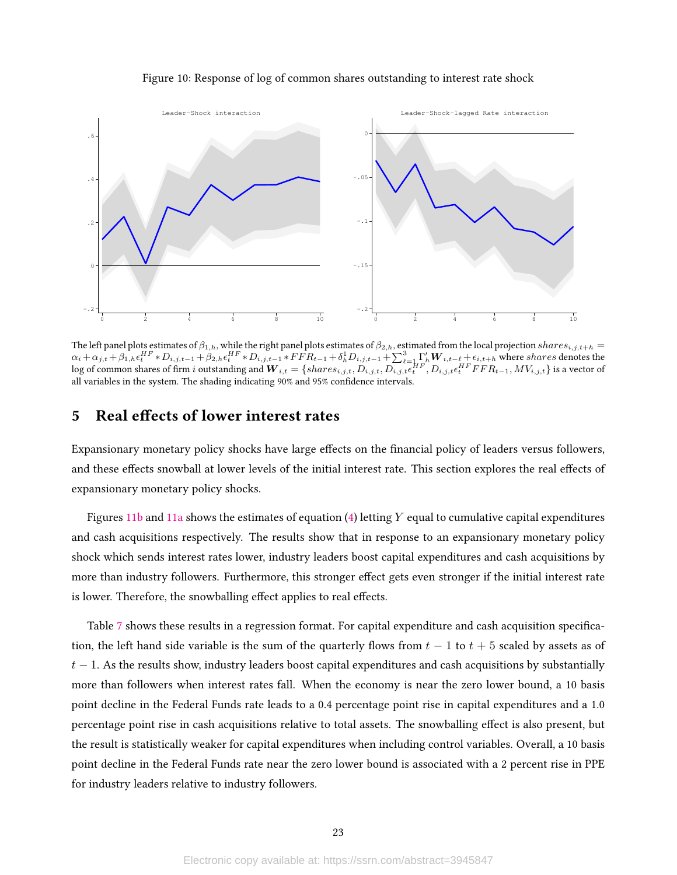#### Figure 10: Response of log of common shares outstanding to interest rate shock

<span id="page-24-0"></span>

The left panel plots estimates of  $\beta_{1,h}$ , while the right panel plots estimates of  $\beta_{2,h}$ , estimated from the local projection shares $i,j,t+h$ α<sup>i</sup> +αj,t +β1,h HF <sup>t</sup> ∗Di,j,t−<sup>1</sup> +β2,h HF <sup>t</sup> ∗Di,j,t−<sup>1</sup> ∗F F Rt−<sup>1</sup> +δ 1 <sup>h</sup>Di,j,t−<sup>1</sup> + P<sup>3</sup> `=1 Γ 0 <sup>h</sup>Wi,t−` +i,t+<sup>h</sup> where shares denotes the  $\log$  of common shares of firm  $i$  outstanding and  $\bm{W}_{i,t}=\{shares_{i,j,t}, D_{i,j,t}, D_{i,j,t}\epsilon^{HF}_t, D_{i,j,t}\epsilon^{HF}_t FFR_{t-1}, MV_{i,j,t}\}$  is a vector of all variables in the system. The shading indicating 90% and 95% confidence intervals.

## 5 Real effects of lower interest rates

Expansionary monetary policy shocks have large effects on the financial policy of leaders versus followers, and these effects snowball at lower levels of the initial interest rate. This section explores the real effects of expansionary monetary policy shocks.

Figures  $11b$  and  $11a$  shows the estimates of equation [\(4\)](#page-20-1) letting  $Y$  equal to cumulative capital expenditures and cash acquisitions respectively. The results show that in response to an expansionary monetary policy shock which sends interest rates lower, industry leaders boost capital expenditures and cash acquisitions by more than industry followers. Furthermore, this stronger effect gets even stronger if the initial interest rate is lower. Therefore, the snowballing effect applies to real effects.

Table [7](#page-26-0) shows these results in a regression format. For capital expenditure and cash acquisition specification, the left hand side variable is the sum of the quarterly flows from  $t - 1$  to  $t + 5$  scaled by assets as of  $t-1$ . As the results show, industry leaders boost capital expenditures and cash acquisitions by substantially more than followers when interest rates fall. When the economy is near the zero lower bound, a 10 basis point decline in the Federal Funds rate leads to a 0.4 percentage point rise in capital expenditures and a 1.0 percentage point rise in cash acquisitions relative to total assets. The snowballing effect is also present, but the result is statistically weaker for capital expenditures when including control variables. Overall, a 10 basis point decline in the Federal Funds rate near the zero lower bound is associated with a 2 percent rise in PPE for industry leaders relative to industry followers.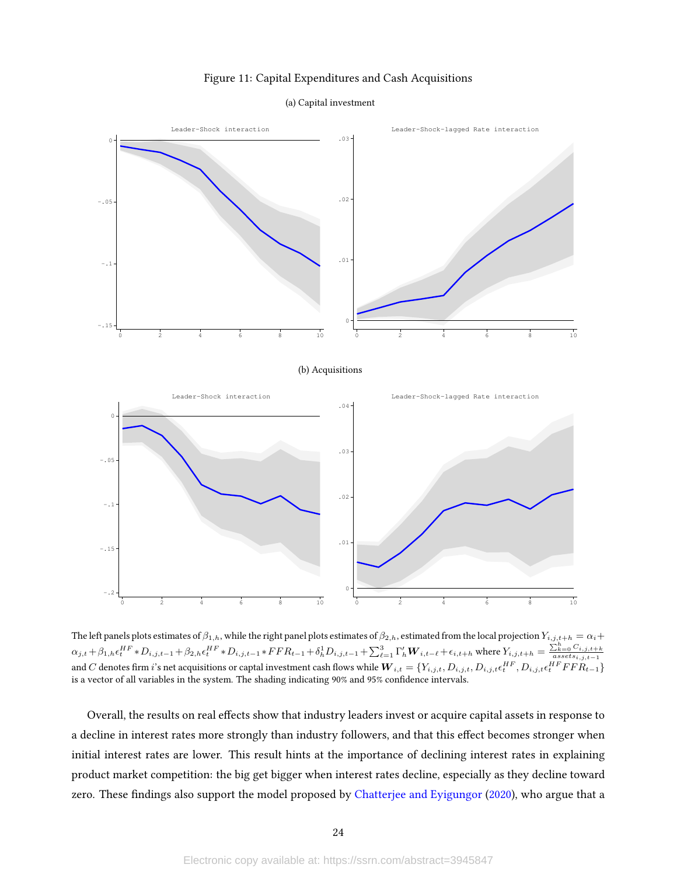



<span id="page-25-1"></span>

(b) Acquisitions

<span id="page-25-0"></span>

The left panels plots estimates of  $\beta_{1,h}$ , while the right panel plots estimates of  $\beta_{2,h}$ , estimated from the local projection  $Y_{i,j,t+h} = \alpha_i +$  $\alpha_{j,t}+\beta_{1,h}\epsilon_{t}^{HF} \ast D_{i,j,t-1}+ \beta_{2,h}\epsilon_{t}^{HF} \ast D_{i,j,t-1} \ast FFR_{t-1} +\delta_{h}^{1}D_{i,j,t-1}+ \sum_{\ell=1}^{3} \Gamma_{h}^{\prime} \bm{W}_{i,t-\ell} + \epsilon_{i,t+h} \text{ where } Y_{i,j,t+h} = \frac{\sum_{k=0}^{h} C_{i,j,t+k}}{asserts_{i,j,t-1}}$ and  $C$  denotes firm  $i$ 's net acquisitions or captal investment cash flows while  $\bm{W}_{i,t}=\{Y_{i,j,t}, D_{i,j,t}, D_{i,j,t}, t_{t}^{HF}, D_{i,j,t} t_{t}^{HF} F F R_{t-1}\}$ is a vector of all variables in the system. The shading indicating 90% and 95% confidence intervals.

Overall, the results on real effects show that industry leaders invest or acquire capital assets in response to a decline in interest rates more strongly than industry followers, and that this effect becomes stronger when initial interest rates are lower. This result hints at the importance of declining interest rates in explaining product market competition: the big get bigger when interest rates decline, especially as they decline toward zero. These findings also support the model proposed by [Chatterjee and Eyigungor](#page-28-2) [\(2020\)](#page-28-2), who argue that a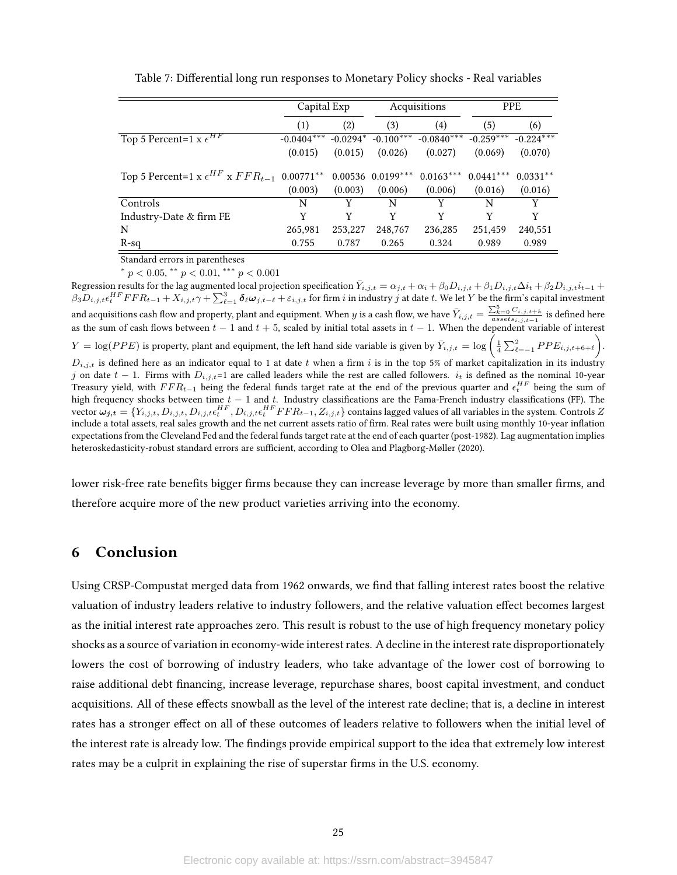<span id="page-26-0"></span>

|                                                                                       | Capital Exp |         |         | Acquisitions                                     | PPE         |             |
|---------------------------------------------------------------------------------------|-------------|---------|---------|--------------------------------------------------|-------------|-------------|
|                                                                                       | (1)         | (2)     | (3)     | (4)                                              | (5)         | (6)         |
| Top 5 Percent= $1 \times e^{HF}$                                                      |             |         |         | $-0.0404***$ $-0.0294*$ $-0.100***$ $-0.0840***$ | $-0.259***$ | $-0.224***$ |
|                                                                                       | (0.015)     | (0.015) | (0.026) | (0.027)                                          | (0.069)     | (0.070)     |
| Top 5 Percent=1 x $\epsilon^{HF}$ x $FFR_{t-1}$ 0.00771** 0.00536 0.0199*** 0.0163*** |             |         |         |                                                  | $0.0441***$ | $0.0331**$  |
|                                                                                       | (0.003)     | (0.003) | (0.006) | (0.006)                                          | (0.016)     | (0.016)     |
| Controls                                                                              | N           | Y       | N       | Y                                                | N           | Y           |
| Industry-Date & firm FE                                                               | Y           | Y       | Y       | Y                                                | Y           | Y           |
| N                                                                                     | 265,981     | 253,227 | 248,767 | 236,285                                          | 251,459     | 240,551     |
| $R-sq$                                                                                | 0.755       | 0.787   | 0.265   | 0.324                                            | 0.989       | 0.989       |

Table 7: Differential long run responses to Monetary Policy shocks - Real variables

\*  $p < 0.05$ , \*\*  $p < 0.01$ , \*\*\*  $p < 0.001$ 

Regression results for the lag augmented local projection specification  $\bar{Y}_{i,j,t} = \alpha_{j,t} + \alpha_i + \beta_0 D_{i,j,t} + \beta_1 D_{i,j,t} \Delta i_t + \beta_2 D_{i,j,t} i_{t-1} +$  $\beta_3D_{i,j,t}\epsilon_t^{HF}FFR_{t-1}+X_{i,j,t}\gamma+\sum_{\ell=1}^3\bm{\delta}_\ell\bm{\omega}_{j,t-\ell}+\varepsilon_{i,j,t}$  for firm  $i$  in industry  $j$  at date  $t.$  We let  $Y$  be the firm's capital investment and acquisitions cash flow and property, plant and equipment. When  $y$  is a cash flow, we have  $\bar Y_{i,j,t} = \frac{\sum_{k=0}^5 C_{i,j,t+k}}{asserts_{i,j,t-1}}$  is defined here as the sum of cash flows between  $t - 1$  and  $t + 5$ , scaled by initial total assets in  $t - 1$ . When the dependent variable of interest  $Y = \log(PPE)$  is property, plant and equipment, the left hand side variable is given by  $\bar{Y}_{i,j,t} = \log\left(\frac{1}{4}\sum_{\ell=-1}^{2} PPE_{i,j,t+6+\ell}\right)$ .  $D_{i,j,t}$  is defined here as an indicator equal to 1 at date t when a firm i is in the top 5% of market capitalization in its industry j on date  $t - 1$ . Firms with  $D_{i,j,t}=1$  are called leaders while the rest are called followers.  $i_t$  is defined as the nominal 10-year Treasury yield, with  $FFR_{t-1}$  being the federal funds target rate at the end of the previous quarter and  $\epsilon_t^{HF}$  being the sum of high frequency shocks between time  $t-1$  and  $t$ . Industry classifications are the Fama-French industry classifications (FF). The vector  $\bm{\omega_{j,t}}=\{Y_{i,j,t},D_{i,j,t},D_{i,j,t}\epsilon_{t}^{HF},D_{i,j,t}\epsilon_{t}^{HF}FFR_{t-1},Z_{i,j,t}\}$  contains lagged values of all variables in the system. Controls  $Z$ include a total assets, real sales growth and the net current assets ratio of firm. Real rates were built using monthly 10-year inflation expectations from the Cleveland Fed and the federal funds target rate at the end of each quarter (post-1982). Lag augmentation implies heteroskedasticity-robust standard errors are sufficient, according to Olea and Plagborg-Møller (2020).

lower risk-free rate benefits bigger firms because they can increase leverage by more than smaller firms, and therefore acquire more of the new product varieties arriving into the economy.

## 6 Conclusion

Using CRSP-Compustat merged data from 1962 onwards, we find that falling interest rates boost the relative valuation of industry leaders relative to industry followers, and the relative valuation effect becomes largest as the initial interest rate approaches zero. This result is robust to the use of high frequency monetary policy shocks as a source of variation in economy-wide interest rates. A decline in the interest rate disproportionately lowers the cost of borrowing of industry leaders, who take advantage of the lower cost of borrowing to raise additional debt financing, increase leverage, repurchase shares, boost capital investment, and conduct acquisitions. All of these effects snowball as the level of the interest rate decline; that is, a decline in interest rates has a stronger effect on all of these outcomes of leaders relative to followers when the initial level of the interest rate is already low. The findings provide empirical support to the idea that extremely low interest rates may be a culprit in explaining the rise of superstar firms in the U.S. economy.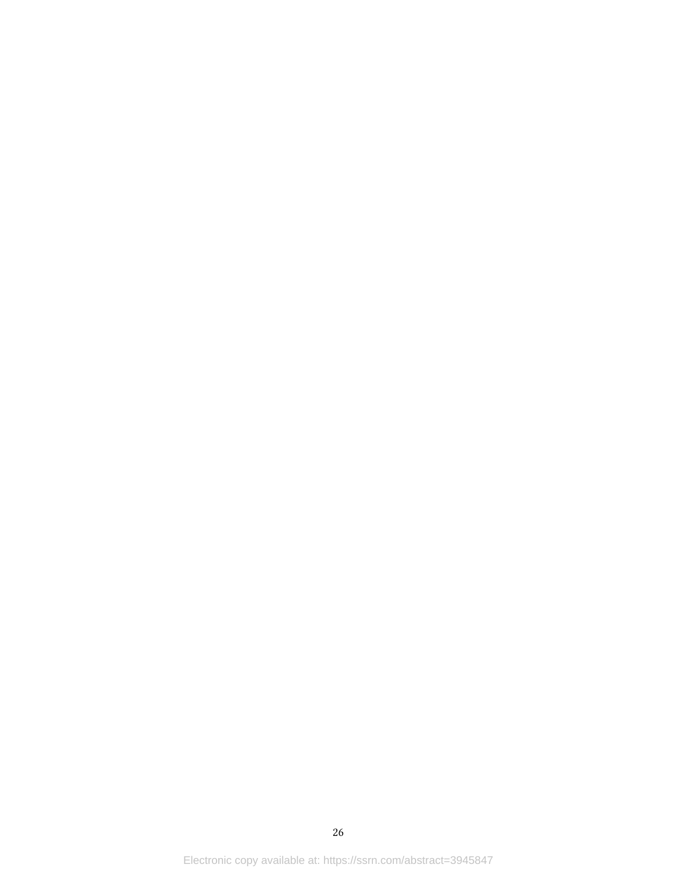Electronic copy available at: https://ssrn.com/abstract=3945847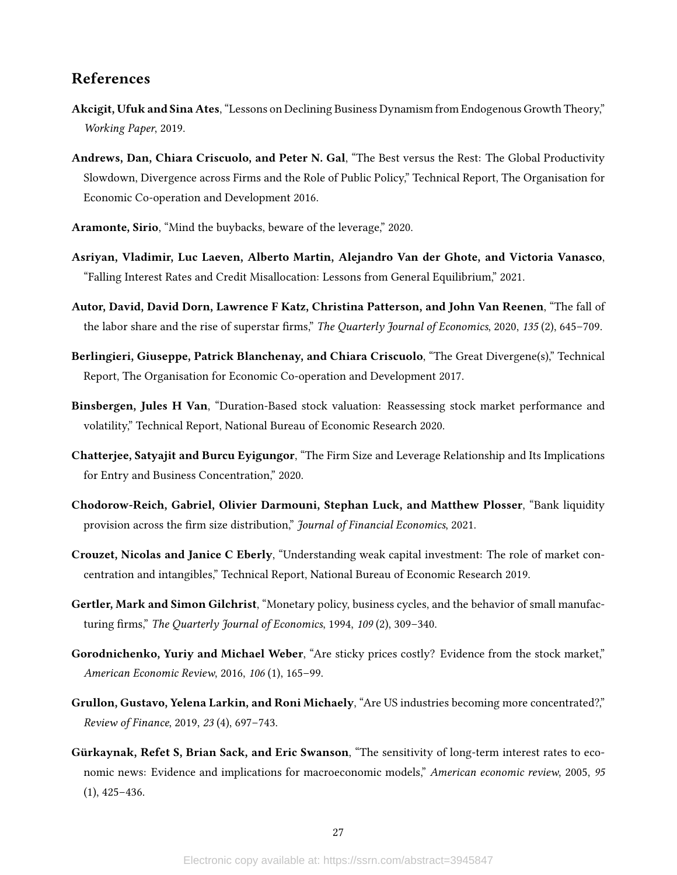## References

- <span id="page-28-0"></span>Akcigit, Ufuk and Sina Ates, "Lessons on Declining Business Dynamism from Endogenous Growth Theory," Working Paper, 2019.
- <span id="page-28-7"></span>Andrews, Dan, Chiara Criscuolo, and Peter N. Gal, "The Best versus the Rest: The Global Productivity Slowdown, Divergence across Firms and the Role of Public Policy," Technical Report, The Organisation for Economic Co-operation and Development 2016.
- <span id="page-28-13"></span>Aramonte, Sirio, "Mind the buybacks, beware of the leverage," 2020.
- <span id="page-28-1"></span>Asriyan, Vladimir, Luc Laeven, Alberto Martin, Alejandro Van der Ghote, and Victoria Vanasco, "Falling Interest Rates and Credit Misallocation: Lessons from General Equilibrium," 2021.
- <span id="page-28-9"></span>Autor, David, David Dorn, Lawrence F Katz, Christina Patterson, and John Van Reenen, "The fall of the labor share and the rise of superstar firms," The Quarterly Journal of Economics, 2020, 135 (2), 645–709.
- <span id="page-28-8"></span>Berlingieri, Giuseppe, Patrick Blanchenay, and Chiara Criscuolo, "The Great Divergene(s)," Technical Report, The Organisation for Economic Co-operation and Development 2017.
- <span id="page-28-10"></span>Binsbergen, Jules H Van, "Duration-Based stock valuation: Reassessing stock market performance and volatility," Technical Report, National Bureau of Economic Research 2020.
- <span id="page-28-2"></span>Chatterjee, Satyajit and Burcu Eyigungor, "The Firm Size and Leverage Relationship and Its Implications for Entry and Business Concentration," 2020.
- <span id="page-28-3"></span>Chodorow-Reich, Gabriel, Olivier Darmouni, Stephan Luck, and Matthew Plosser, "Bank liquidity provision across the firm size distribution," Journal of Financial Economics, 2021.
- <span id="page-28-6"></span>Crouzet, Nicolas and Janice C Eberly, "Understanding weak capital investment: The role of market concentration and intangibles," Technical Report, National Bureau of Economic Research 2019.
- <span id="page-28-11"></span>Gertler, Mark and Simon Gilchrist, "Monetary policy, business cycles, and the behavior of small manufacturing firms," The Quarterly Journal of Economics, 1994,  $109(2)$ , 309–340.
- <span id="page-28-4"></span>Gorodnichenko, Yuriy and Michael Weber, "Are sticky prices costly? Evidence from the stock market," American Economic Review, 2016, 106 (1), 165–99.
- <span id="page-28-5"></span>Grullon, Gustavo, Yelena Larkin, and Roni Michaely, "Are US industries becoming more concentrated?," Review of Finance, 2019, 23 (4), 697–743.
- <span id="page-28-12"></span>Gürkaynak, Refet S, Brian Sack, and Eric Swanson, "The sensitivity of long-term interest rates to economic news: Evidence and implications for macroeconomic models," American economic review, 2005, 95 (1), 425–436.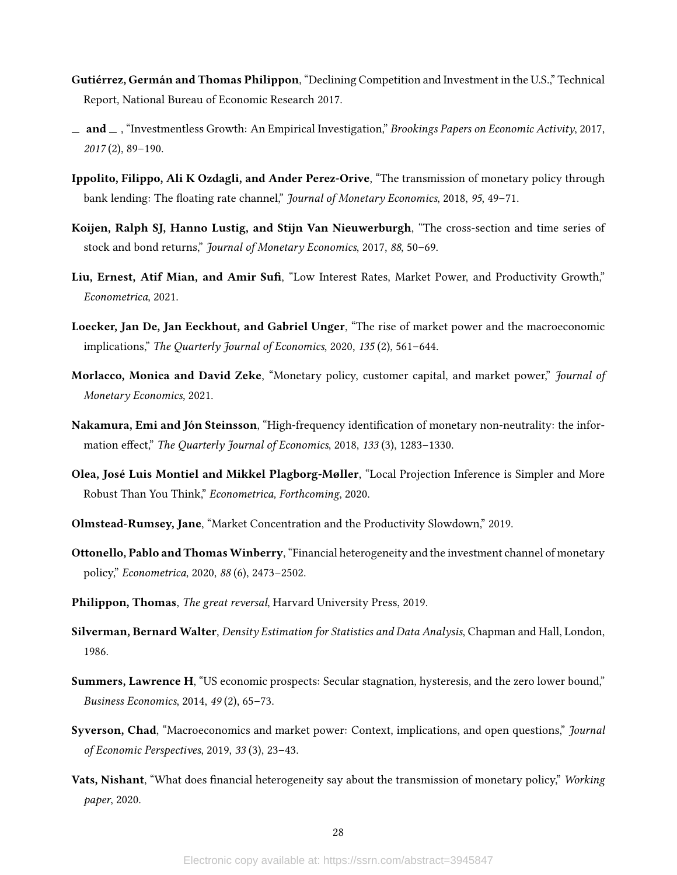- <span id="page-29-6"></span>Gutiérrez, Germán and Thomas Philippon, "Declining Competition and Investment in the U.S.," Technical Report, National Bureau of Economic Research 2017.
- <span id="page-29-7"></span> $-$  and  $-$ , "Investmentless Growth: An Empirical Investigation," Brookings Papers on Economic Activity, 2017, 2017 (2), 89–190.
- <span id="page-29-9"></span>Ippolito, Filippo, Ali K Ozdagli, and Ander Perez-Orive, "The transmission of monetary policy through bank lending: The floating rate channel," *Journal of Monetary Economics*, 2018, 95, 49–71.
- <span id="page-29-8"></span>Koijen, Ralph SJ, Hanno Lustig, and Stijn Van Nieuwerburgh, "The cross-section and time series of stock and bond returns," Journal of Monetary Economics, 2017, 88, 50-69.
- <span id="page-29-1"></span>Liu, Ernest, Atif Mian, and Amir Sufi, "Low Interest Rates, Market Power, and Productivity Growth," Econometrica, 2021.
- <span id="page-29-5"></span>Loecker, Jan De, Jan Eeckhout, and Gabriel Unger, "The rise of market power and the macroeconomic implications," The Quarterly Journal of Economics, 2020, 135 (2), 561–644.
- <span id="page-29-12"></span>Morlacco, Monica and David Zeke, "Monetary policy, customer capital, and market power," Journal of Monetary Economics, 2021.
- <span id="page-29-14"></span>Nakamura, Emi and Jón Steinsson, "High-frequency identification of monetary non-neutrality: the information effect," The Quarterly Journal of Economics, 2018, 133 (3), 1283-1330.
- <span id="page-29-15"></span>Olea, José Luis Montiel and Mikkel Plagborg-Møller, "Local Projection Inference is Simpler and More Robust Than You Think," Econometrica, Forthcoming, 2020.
- <span id="page-29-0"></span>Olmstead-Rumsey, Jane, "Market Concentration and the Productivity Slowdown," 2019.
- <span id="page-29-10"></span>Ottonello, Pablo and Thomas Winberry, "Financial heterogeneity and the investment channel of monetary policy," Econometrica, 2020, 88 (6), 2473–2502.
- <span id="page-29-3"></span>Philippon, Thomas, The great reversal, Harvard University Press, 2019.
- <span id="page-29-13"></span>Silverman, Bernard Walter, Density Estimation for Statistics and Data Analysis, Chapman and Hall, London, 1986.
- <span id="page-29-2"></span>Summers, Lawrence H, "US economic prospects: Secular stagnation, hysteresis, and the zero lower bound," Business Economics, 2014, 49 (2), 65–73.
- <span id="page-29-4"></span>Syverson, Chad, "Macroeconomics and market power: Context, implications, and open questions," Journal of Economic Perspectives, 2019, 33 (3), 23–43.
- <span id="page-29-11"></span>Vats, Nishant, "What does financial heterogeneity say about the transmission of monetary policy," Working paper, 2020.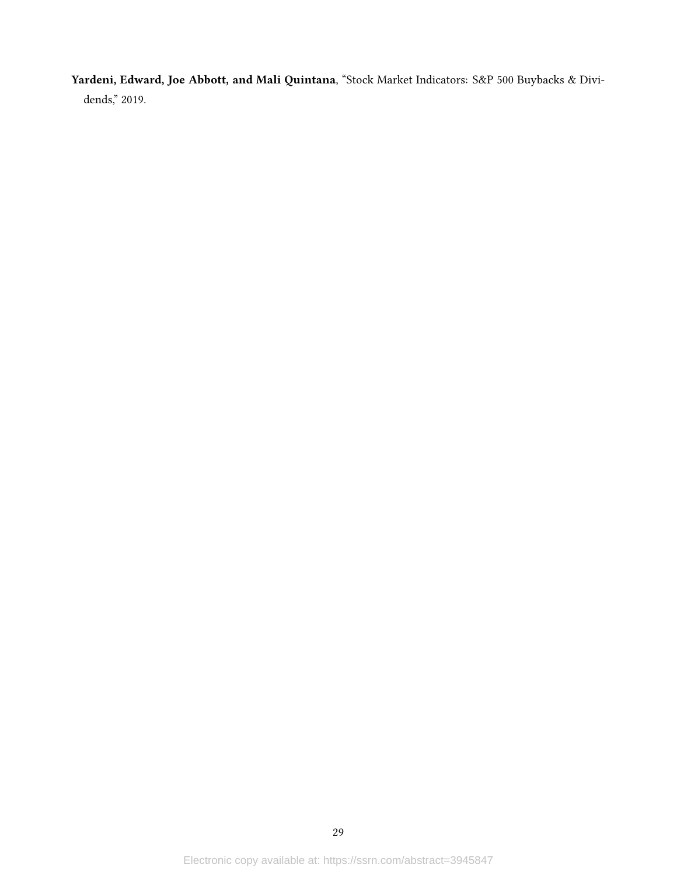<span id="page-30-0"></span>Yardeni, Edward, Joe Abbott, and Mali Quintana, "Stock Market Indicators: S&P 500 Buybacks & Dividends," 2019.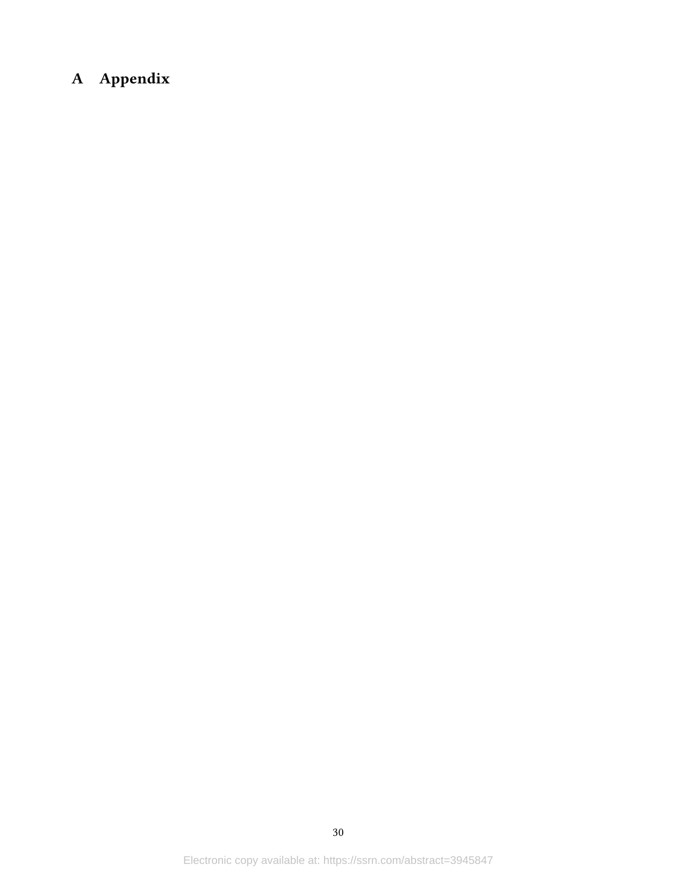## A Appendix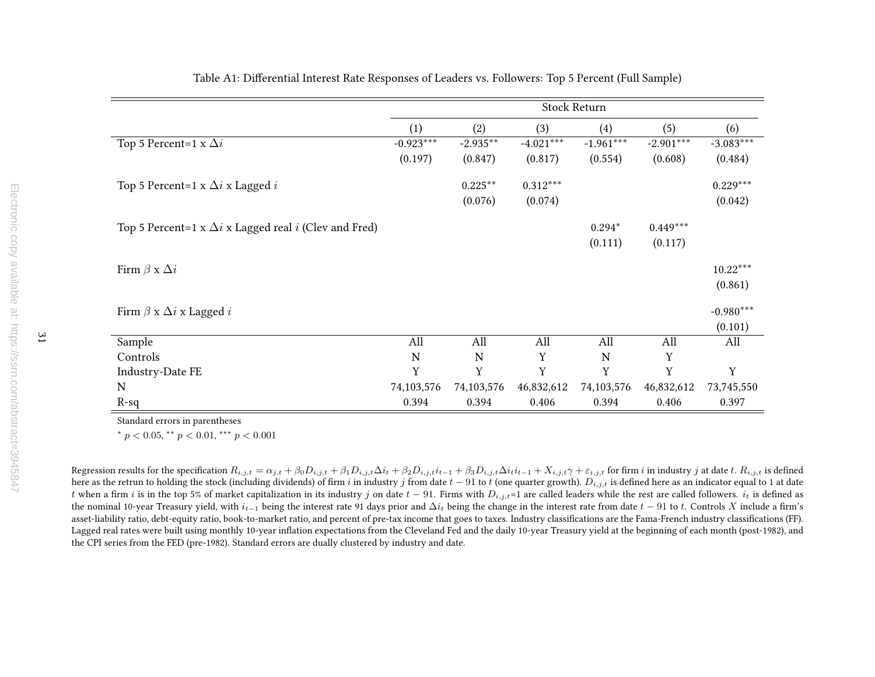|                                                                     |             |             |             | <b>Stock Return</b> |             |             |
|---------------------------------------------------------------------|-------------|-------------|-------------|---------------------|-------------|-------------|
|                                                                     | (1)         | (2)         | (3)         | (4)                 | (5)         | (6)         |
| Top 5 Percent=1 x $\Delta i$                                        | $-0.923***$ | $-2.935***$ | $-4.021***$ | $-1.961***$         | $-2.901***$ | $-3.083***$ |
|                                                                     | (0.197)     | (0.847)     | (0.817)     | (0.554)             | (0.608)     | (0.484)     |
| Top 5 Percent=1 x $\Delta i$ x Lagged i                             |             | $0.225***$  | $0.312***$  |                     |             | $0.229***$  |
|                                                                     |             | (0.076)     | (0.074)     |                     |             | (0.042)     |
| Top 5 Percent=1 x $\Delta i$ x Lagged real <i>i</i> (Clev and Fred) |             |             |             | $0.294*$            | $0.449***$  |             |
|                                                                     |             |             |             | (0.111)             | (0.117)     |             |
| Firm $\beta$ x $\Delta i$                                           |             |             |             |                     |             | $10.22***$  |
|                                                                     |             |             |             |                     |             | (0.861)     |
| Firm $\beta$ x $\Delta i$ x Lagged i                                |             |             |             |                     |             | $-0.980***$ |
|                                                                     |             |             |             |                     |             | (0.101)     |
| Sample                                                              | All         | All         | All         | All                 | All         | All         |
| Controls                                                            | $\mathbf N$ | $\mathbf N$ | Y           | N                   | Y           |             |
| Industry-Date FE                                                    | Y           | Y           | Y           | Y                   | Y           | Y           |
| N                                                                   | 74,103,576  | 74,103,576  | 46,832,612  | 74,103,576          | 46,832,612  | 73,745,550  |
| $R-sq$                                                              | 0.394       | 0.394       | 0.406       | 0.394               | 0.406       | 0.397       |

<span id="page-32-0"></span>Table A1: Differential Interest Rate Responses of Leaders vs. Followers: Top 5 Percent (Full Sample)

 $* p < 0.05, ** p < 0.01, ** p < 0.001$ 

Regression results for the specification  $R_{i,j,t} = \alpha_{j,t} + \beta_0 D_{i,j,t} + \beta_1 D_{i,j,t} \Delta i_t + \beta_2 D_{i,j,t} i_{t-1} + \beta_3 D_{i,j,t} \Delta i_t i_{t-1} + X_{i,j,t} \gamma + \varepsilon_{i,j,t}$  for firm i in industry j at date t.  $R_{i,j,t}$  is defined here as the retrun to holding the stock (including dividends) of firm i in industry j from date  $t - 91$  to t (one quarter growth).  $D_{i,j,t}$  is defined here as an indicator equal to 1 at date t when a firm i is in the top 5% of market capitalization in its industry j on date  $t - 91$ . Firms with  $D_{i,j,t}$ =1 are called leaders while the rest are called followers. it is defined as the nominal 10-year Treasury yield, with  $i_{t-1}$  being the interest rate 91 days prior and  $\Delta i_t$  being the change in the interest rate from date  $t - 91$  to  $t$ . Controls X include a firm's<br>coast liability ratio dabt co asset-liability ratio, debt-equity ratio, book-to-market ratio, and percent of pre-tax income that goes to taxes. Industry classifications are the Fama-French industry classifications (FF). Lagged real rates were built using monthly 10-year inflation expectations from the Cleveland Fed and the daily 10-year Treasury yield at the beginning of each month (post-1982), and the CPI series from the FED (pre-1982). Standard errors are dually clustered by industry and date.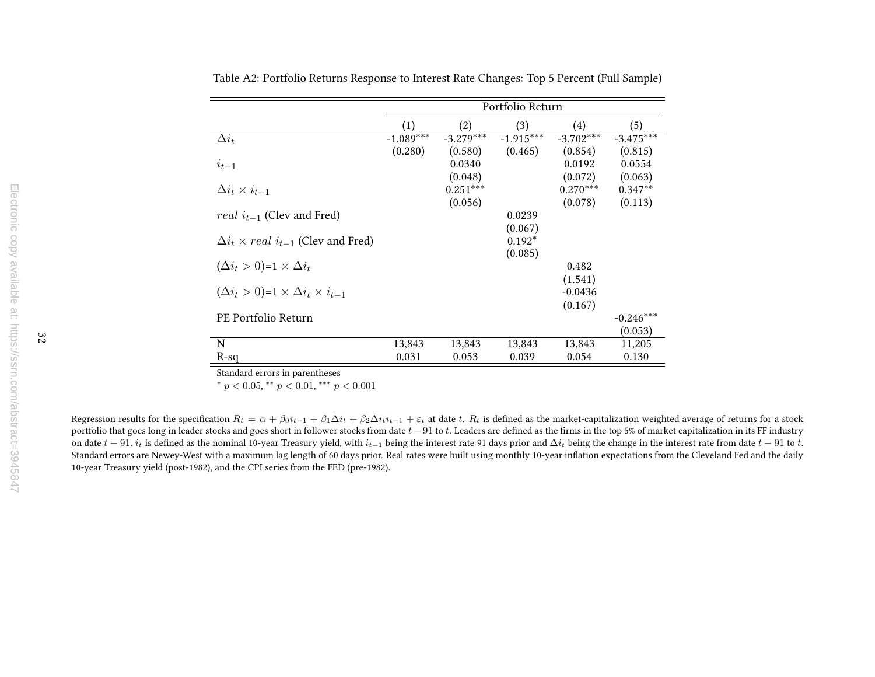|                                                       |             |             | Portfolio Return |             |             |
|-------------------------------------------------------|-------------|-------------|------------------|-------------|-------------|
|                                                       | (1)         | (2)         | (3)              | (4)         | (5)         |
| $\Delta i_t$                                          | $-1.089***$ | $-3.279***$ | $-1.915***$      | $-3.702***$ | $-3.475***$ |
|                                                       | (0.280)     | (0.580)     | (0.465)          | (0.854)     | (0.815)     |
| $i_{t-1}$                                             |             | 0.0340      |                  | 0.0192      | 0.0554      |
|                                                       |             | (0.048)     |                  | (0.072)     | (0.063)     |
| $\Delta i_t \times i_{t-1}$                           |             | $0.251***$  |                  | $0.270***$  | $0.347**$   |
|                                                       |             | (0.056)     |                  | (0.078)     | (0.113)     |
| <i>real</i> $i_{t-1}$ (Clev and Fred)                 |             |             | 0.0239           |             |             |
|                                                       |             |             | (0.067)          |             |             |
| $\Delta i_t \times real \, i_{t-1}$ (Clev and Fred)   |             |             | $0.192*$         |             |             |
|                                                       |             |             | (0.085)          |             |             |
| $(\Delta i_t > 0)=1 \times \Delta i_t$                |             |             |                  | 0.482       |             |
|                                                       |             |             |                  | (1.541)     |             |
| $(\Delta i_t > 0)=1 \times \Delta i_t \times i_{t-1}$ |             |             |                  | $-0.0436$   |             |
|                                                       |             |             |                  | (0.167)     |             |
| PE Portfolio Return                                   |             |             |                  |             | $-0.246***$ |
|                                                       |             |             |                  |             | (0.053)     |
| N                                                     | 13,843      | 13,843      | 13,843           | 13,843      | 11,205      |
| $R-sq$                                                | 0.031       | 0.053       | 0.039            | 0.054       | 0.130       |

Table A2: Portfolio Returns Response to Interest Rate Changes: Top <sup>5</sup> Percent (Full Sample)

 $* p < 0.05, ** p < 0.01, ** p < 0.001$ 

<span id="page-33-0"></span>Regression results for the specification  $R_t = \alpha + \beta_0 i_{t-1} + \beta_1 \Delta i_t + \beta_2 \Delta i_t i_{t-1} + \varepsilon_t$  at date t.  $R_t$  is defined as the market-capitalization weighted average of returns for a stock<br>nextfalls that we also nice to deno portfolio that goes long in leader stocks and goes short in follower stocks from date  $t-91$  to  $t$ . Leaders are defined as the firms in the top 5% of market capitalization in its FF industry on date  $t - 91$ .  $i_t$  is defined as the nominal 10-year Treasury yield, with  $i_{t-1}$  being the interest rate  $91$  days prior and  $\Delta i_t$  being the change in the interest rate from date  $t - 91$  to  $t$ . Standard errors are Newey-West with a maximum lag length of 60 days prior. Real rates were built using monthly 10-year inflation expectations from the Cleveland Fed and the daily 10-year Treasury yield (post-1982), and the CPI series from the FED (pre-1982).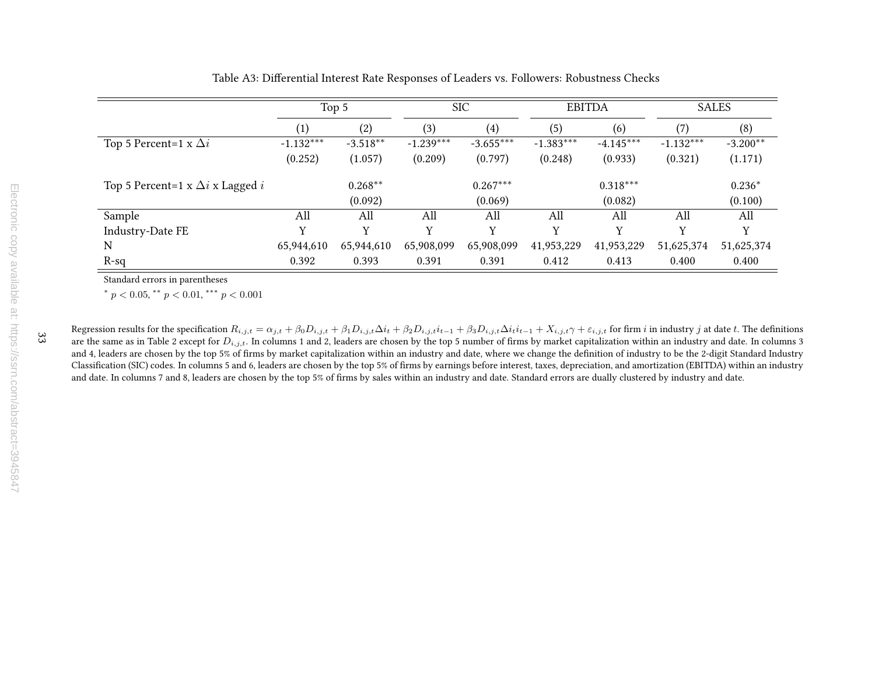|                                         |             | Top 5      |             | <b>SIC</b>  |             | <b>EBITDA</b> |             | <b>SALES</b> |
|-----------------------------------------|-------------|------------|-------------|-------------|-------------|---------------|-------------|--------------|
|                                         | (1)         | (2)        | (3)         | (4)         | (5)         | (6)           | (7)         | (8)          |
| Top 5 Percent=1 $x \Delta i$            | $-1.132***$ | $-3.518**$ | $-1.239***$ | $-3.655***$ | $-1.383***$ | $-4.145***$   | $-1.132***$ | $-3.200**$   |
|                                         | (0.252)     | (1.057)    | (0.209)     | (0.797)     | (0.248)     | (0.933)       | (0.321)     | (1.171)      |
| Top 5 Percent=1 x $\Delta i$ x Lagged i |             | $0.268***$ |             | $0.267***$  |             | $0.318***$    |             | $0.236*$     |
|                                         |             | (0.092)    |             | (0.069)     |             | (0.082)       |             | (0.100)      |
| Sample                                  | All         | All        | All         | All         | All         | All           | All         | All          |
| Industry-Date FE                        | Y           | v          | Y           | Y           | Y           | v             | Y           | v            |
| N                                       | 65,944,610  | 65,944,610 | 65,908,099  | 65,908,099  | 41,953,229  | 41,953,229    | 51,625,374  | 51,625,374   |
| $R-sq$                                  | 0.392       | 0.393      | 0.391       | 0.391       | 0.412       | 0.413         | 0.400       | 0.400        |

Table A3: Differential Interest Rate Responses of Leaders vs. Followers: Robustness Checks

\*  $p < 0.05$ , \*\*  $p < 0.01$ , \*\*\*  $p < 0.001$ 

<span id="page-34-0"></span>Regression results for the specification  $R_{i,j,t} = \alpha_{j,t} + \beta_0 D_{i,j,t} + \beta_1 D_{i,j,t} \Delta i_t + \beta_2 D_{i,j,t} i_{t-1} + \beta_3 D_{i,j,t} \Delta i_t i_{t-1} + X_{i,j,t} \gamma + \varepsilon_{i,j,t}$  for firm i in industry j at date t. The definitions are the same as in Table 2 except for  $D_{i,j,t}$ . In columns 1 and 2, leaders are chosen by the top 5 number of firms by market capitalization within an industry and date. In columns 3 and 4, leaders are chosen by the top 5% of firms by market capitalization within an industry and date, where we change the definition of industry to be the 2-digit Standard Industry Classification (SIC) codes. In columns 5 and 6, leaders are chosen by the top 5% of firms by earnings before interest, taxes, depreciation, and amortization (EBITDA) within an industry and date. In columns 7 and 8, leaders are chosen by the top 5% of firms by sales within an industry and date. Standard errors are dually clustered by industry and date.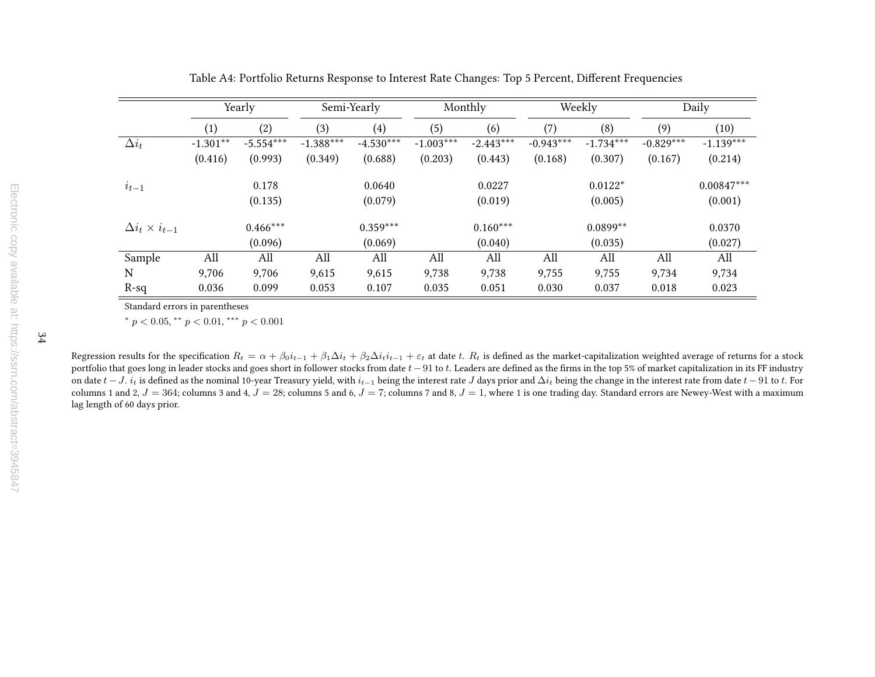|                             |            | Yearly      |             | Semi-Yearly |             | Monthly     |             | Weekly      |             | Daily        |
|-----------------------------|------------|-------------|-------------|-------------|-------------|-------------|-------------|-------------|-------------|--------------|
|                             | (1)        | (2)         | (3)         | (4)         | (5)         | (6)         | (7)         | (8)         | (9)         | (10)         |
| $\Delta i_t$                | $-1.301**$ | $-5.554***$ | $-1.388***$ | $-4.530***$ | $-1.003***$ | $-2.443***$ | $-0.943***$ | $-1.734***$ | $-0.829***$ | $-1.139***$  |
|                             | (0.416)    | (0.993)     | (0.349)     | (0.688)     | (0.203)     | (0.443)     | (0.168)     | (0.307)     | (0.167)     | (0.214)      |
| $i_{t-1}$                   |            | 0.178       |             | 0.0640      |             | 0.0227      |             | $0.0122*$   |             | $0.00847***$ |
|                             |            | (0.135)     |             | (0.079)     |             | (0.019)     |             | (0.005)     |             | (0.001)      |
| $\Delta i_t \times i_{t-1}$ |            | $0.466***$  |             | $0.359***$  |             | $0.160***$  |             | $0.0899**$  |             | 0.0370       |
|                             |            | (0.096)     |             | (0.069)     |             | (0.040)     |             | (0.035)     |             | (0.027)      |
| Sample                      | All        | All         | All         | All         | All         | All         | All         | All         | All         | All          |
| N                           | 9,706      | 9,706       | 9,615       | 9,615       | 9,738       | 9,738       | 9,755       | 9,755       | 9,734       | 9,734        |
| $R-sq$                      | 0.036      | 0.099       | 0.053       | 0.107       | 0.035       | 0.051       | 0.030       | 0.037       | 0.018       | 0.023        |

Table A4: Portfolio Returns Response to Interest Rate Changes: Top 5 Percent, Different Frequencies

 $*$  p < 0.05,  $*$  p < 0.01,  $*$   $*$  p < 0.001

<span id="page-35-0"></span>Regression results for the specification  $R_t = \alpha + \beta_0 i_{t-1} + \beta_1 \Delta i_t + \beta_2 \Delta i_t i_{t-1} + \varepsilon_t$  at date t.  $R_t$  is defined as the market-capitalization weighted average of returns for a stock<br>partialization is had to the starke portfolio that goes long in leader stocks and goes short in follower stocks from date  $t-91$  to  $t$ . Leaders are defined as the firms in the top 5% of market capitalization in its FF industry on date  $t - J$ .  $i_t$  is defined as the nominal 10-year Treasury yield, with  $i_{t-1}$  being the interest rate  $J$  days prior and  $\Delta i_t$  being the change in the interest rate from date  $t - 91$  to t. For columns 1 and 2,  $J=364;$  columns 3 and 4,  $J=28;$  columns 5 and 6,  $J=7;$  columns 7 and 8,  $J=1,$  where 1 is one trading day. Standard errors are Newey-West with a maximum lag length of <sup>60</sup> days prior.